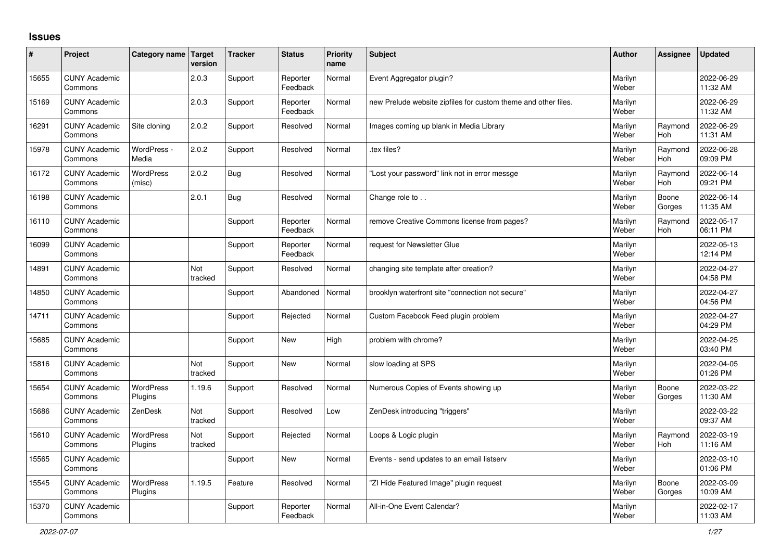## **Issues**

| ∦     | Project                         | Category name Target        | version        | <b>Tracker</b> | <b>Status</b>        | <b>Priority</b><br>name | <b>Subject</b>                                                 | <b>Author</b>    | Assignee              | <b>Updated</b>         |
|-------|---------------------------------|-----------------------------|----------------|----------------|----------------------|-------------------------|----------------------------------------------------------------|------------------|-----------------------|------------------------|
| 15655 | <b>CUNY Academic</b><br>Commons |                             | 2.0.3          | Support        | Reporter<br>Feedback | Normal                  | Event Aggregator plugin?                                       | Marilyn<br>Weber |                       | 2022-06-29<br>11:32 AM |
| 15169 | <b>CUNY Academic</b><br>Commons |                             | 2.0.3          | Support        | Reporter<br>Feedback | Normal                  | new Prelude website zipfiles for custom theme and other files. | Marilyn<br>Weber |                       | 2022-06-29<br>11:32 AM |
| 16291 | <b>CUNY Academic</b><br>Commons | Site cloning                | 2.0.2          | Support        | Resolved             | Normal                  | Images coming up blank in Media Library                        | Marilyn<br>Weber | Raymond<br><b>Hoh</b> | 2022-06-29<br>11:31 AM |
| 15978 | <b>CUNY Academic</b><br>Commons | WordPress -<br>Media        | 2.0.2          | Support        | Resolved             | Normal                  | tex files?                                                     | Marilyn<br>Weber | Raymond<br>Hoh        | 2022-06-28<br>09:09 PM |
| 16172 | <b>CUNY Academic</b><br>Commons | <b>WordPress</b><br>(misc)  | 2.0.2          | <b>Bug</b>     | Resolved             | Normal                  | 'Lost your password" link not in error messge                  | Marilyn<br>Weber | Raymond<br>Hoh        | 2022-06-14<br>09:21 PM |
| 16198 | <b>CUNY Academic</b><br>Commons |                             | 2.0.1          | Bug            | Resolved             | Normal                  | Change role to                                                 | Marilyn<br>Weber | Boone<br>Gorges       | 2022-06-14<br>11:35 AM |
| 16110 | <b>CUNY Academic</b><br>Commons |                             |                | Support        | Reporter<br>Feedback | Normal                  | remove Creative Commons license from pages?                    | Marilyn<br>Weber | Raymond<br><b>Hoh</b> | 2022-05-17<br>06:11 PM |
| 16099 | <b>CUNY Academic</b><br>Commons |                             |                | Support        | Reporter<br>Feedback | Normal                  | request for Newsletter Glue                                    | Marilyn<br>Weber |                       | 2022-05-13<br>12:14 PM |
| 14891 | <b>CUNY Academic</b><br>Commons |                             | Not<br>tracked | Support        | Resolved             | Normal                  | changing site template after creation?                         | Marilyn<br>Weber |                       | 2022-04-27<br>04:58 PM |
| 14850 | <b>CUNY Academic</b><br>Commons |                             |                | Support        | Abandoned            | Normal                  | brooklyn waterfront site "connection not secure"               | Marilyn<br>Weber |                       | 2022-04-27<br>04:56 PM |
| 14711 | <b>CUNY Academic</b><br>Commons |                             |                | Support        | Rejected             | Normal                  | Custom Facebook Feed plugin problem                            | Marilyn<br>Weber |                       | 2022-04-27<br>04:29 PM |
| 15685 | <b>CUNY Academic</b><br>Commons |                             |                | Support        | <b>New</b>           | High                    | problem with chrome?                                           | Marilyn<br>Weber |                       | 2022-04-25<br>03:40 PM |
| 15816 | <b>CUNY Academic</b><br>Commons |                             | Not<br>tracked | Support        | <b>New</b>           | Normal                  | slow loading at SPS                                            | Marilyn<br>Weber |                       | 2022-04-05<br>01:26 PM |
| 15654 | <b>CUNY Academic</b><br>Commons | WordPress<br>Plugins        | 1.19.6         | Support        | Resolved             | Normal                  | Numerous Copies of Events showing up                           | Marilyn<br>Weber | Boone<br>Gorges       | 2022-03-22<br>11:30 AM |
| 15686 | <b>CUNY Academic</b><br>Commons | ZenDesk                     | Not<br>tracked | Support        | Resolved             | Low                     | ZenDesk introducing "triggers"                                 | Marilyn<br>Weber |                       | 2022-03-22<br>09:37 AM |
| 15610 | <b>CUNY Academic</b><br>Commons | <b>WordPress</b><br>Plugins | Not<br>tracked | Support        | Rejected             | Normal                  | Loops & Logic plugin                                           | Marilyn<br>Weber | Raymond<br><b>Hoh</b> | 2022-03-19<br>11:16 AM |
| 15565 | <b>CUNY Academic</b><br>Commons |                             |                | Support        | <b>New</b>           | Normal                  | Events - send updates to an email listserv                     | Marilyn<br>Weber |                       | 2022-03-10<br>01:06 PM |
| 15545 | <b>CUNY Academic</b><br>Commons | <b>WordPress</b><br>Plugins | 1.19.5         | Feature        | Resolved             | Normal                  | "ZI Hide Featured Image" plugin request                        | Marilyn<br>Weber | Boone<br>Gorges       | 2022-03-09<br>10:09 AM |
| 15370 | <b>CUNY Academic</b><br>Commons |                             |                | Support        | Reporter<br>Feedback | Normal                  | All-in-One Event Calendar?                                     | Marilyn<br>Weber |                       | 2022-02-17<br>11:03 AM |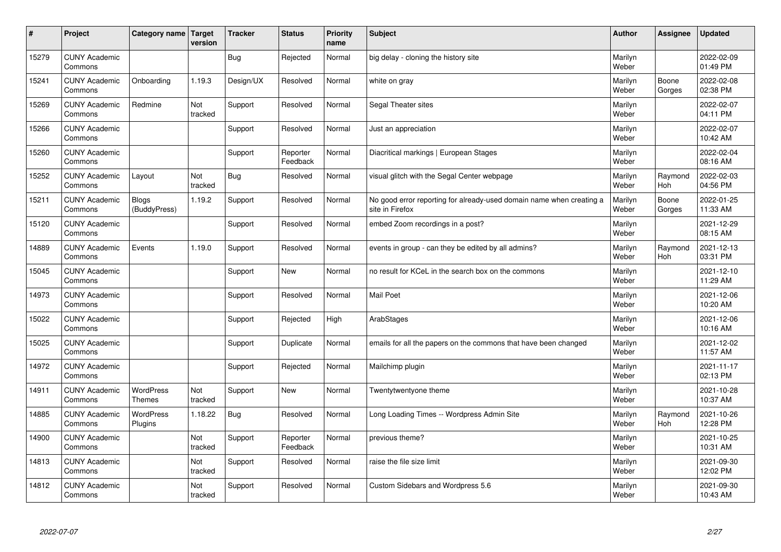| #     | Project                         | Category name   Target            | version        | <b>Tracker</b> | <b>Status</b>        | <b>Priority</b><br>name | <b>Subject</b>                                                                          | <b>Author</b>    | Assignee              | <b>Updated</b>         |
|-------|---------------------------------|-----------------------------------|----------------|----------------|----------------------|-------------------------|-----------------------------------------------------------------------------------------|------------------|-----------------------|------------------------|
| 15279 | <b>CUNY Academic</b><br>Commons |                                   |                | Bug            | Rejected             | Normal                  | big delay - cloning the history site                                                    | Marilyn<br>Weber |                       | 2022-02-09<br>01:49 PM |
| 15241 | <b>CUNY Academic</b><br>Commons | Onboarding                        | 1.19.3         | Design/UX      | Resolved             | Normal                  | white on gray                                                                           | Marilyn<br>Weber | Boone<br>Gorges       | 2022-02-08<br>02:38 PM |
| 15269 | <b>CUNY Academic</b><br>Commons | Redmine                           | Not<br>tracked | Support        | Resolved             | Normal                  | Segal Theater sites                                                                     | Marilyn<br>Weber |                       | 2022-02-07<br>04:11 PM |
| 15266 | <b>CUNY Academic</b><br>Commons |                                   |                | Support        | Resolved             | Normal                  | Just an appreciation                                                                    | Marilyn<br>Weber |                       | 2022-02-07<br>10:42 AM |
| 15260 | <b>CUNY Academic</b><br>Commons |                                   |                | Support        | Reporter<br>Feedback | Normal                  | Diacritical markings   European Stages                                                  | Marilyn<br>Weber |                       | 2022-02-04<br>08:16 AM |
| 15252 | <b>CUNY Academic</b><br>Commons | Layout                            | Not<br>tracked | Bug            | Resolved             | Normal                  | visual glitch with the Segal Center webpage                                             | Marilyn<br>Weber | Raymond<br>Hoh        | 2022-02-03<br>04:56 PM |
| 15211 | <b>CUNY Academic</b><br>Commons | Blogs<br>(BuddyPress)             | 1.19.2         | Support        | Resolved             | Normal                  | No good error reporting for already-used domain name when creating a<br>site in Firefox | Marilyn<br>Weber | Boone<br>Gorges       | 2022-01-25<br>11:33 AM |
| 15120 | <b>CUNY Academic</b><br>Commons |                                   |                | Support        | Resolved             | Normal                  | embed Zoom recordings in a post?                                                        | Marilyn<br>Weber |                       | 2021-12-29<br>08:15 AM |
| 14889 | <b>CUNY Academic</b><br>Commons | Events                            | 1.19.0         | Support        | Resolved             | Normal                  | events in group - can they be edited by all admins?                                     | Marilyn<br>Weber | Raymond<br>Hoh        | 2021-12-13<br>03:31 PM |
| 15045 | <b>CUNY Academic</b><br>Commons |                                   |                | Support        | <b>New</b>           | Normal                  | no result for KCeL in the search box on the commons                                     | Marilyn<br>Weber |                       | 2021-12-10<br>11:29 AM |
| 14973 | <b>CUNY Academic</b><br>Commons |                                   |                | Support        | Resolved             | Normal                  | Mail Poet                                                                               | Marilyn<br>Weber |                       | 2021-12-06<br>10:20 AM |
| 15022 | <b>CUNY Academic</b><br>Commons |                                   |                | Support        | Rejected             | High                    | ArabStages                                                                              | Marilyn<br>Weber |                       | 2021-12-06<br>10:16 AM |
| 15025 | <b>CUNY Academic</b><br>Commons |                                   |                | Support        | Duplicate            | Normal                  | emails for all the papers on the commons that have been changed                         | Marilyn<br>Weber |                       | 2021-12-02<br>11:57 AM |
| 14972 | <b>CUNY Academic</b><br>Commons |                                   |                | Support        | Rejected             | Normal                  | Mailchimp plugin                                                                        | Marilyn<br>Weber |                       | 2021-11-17<br>02:13 PM |
| 14911 | <b>CUNY Academic</b><br>Commons | <b>WordPress</b><br><b>Themes</b> | Not<br>tracked | Support        | <b>New</b>           | Normal                  | Twentytwentyone theme                                                                   | Marilyn<br>Weber |                       | 2021-10-28<br>10:37 AM |
| 14885 | <b>CUNY Academic</b><br>Commons | <b>WordPress</b><br>Plugins       | 1.18.22        | Bug            | Resolved             | Normal                  | Long Loading Times -- Wordpress Admin Site                                              | Marilyn<br>Weber | Raymond<br><b>Hoh</b> | 2021-10-26<br>12:28 PM |
| 14900 | <b>CUNY Academic</b><br>Commons |                                   | Not<br>tracked | Support        | Reporter<br>Feedback | Normal                  | previous theme?                                                                         | Marilyn<br>Weber |                       | 2021-10-25<br>10:31 AM |
| 14813 | <b>CUNY Academic</b><br>Commons |                                   | Not<br>tracked | Support        | Resolved             | Normal                  | raise the file size limit                                                               | Marilyn<br>Weber |                       | 2021-09-30<br>12:02 PM |
| 14812 | <b>CUNY Academic</b><br>Commons |                                   | Not<br>tracked | Support        | Resolved             | Normal                  | Custom Sidebars and Wordpress 5.6                                                       | Marilyn<br>Weber |                       | 2021-09-30<br>10:43 AM |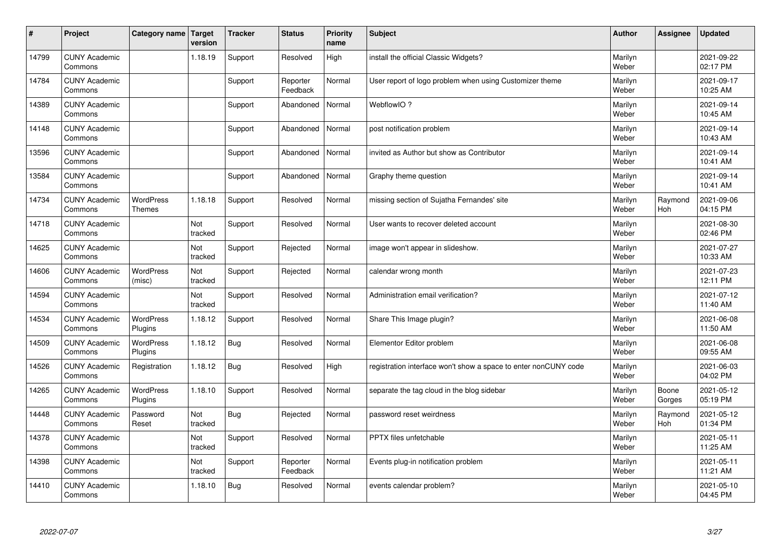| #     | Project                         | Category name   Target      | version        | <b>Tracker</b> | <b>Status</b>        | <b>Priority</b><br>name | <b>Subject</b>                                                  | <b>Author</b>    | Assignee              | <b>Updated</b>         |
|-------|---------------------------------|-----------------------------|----------------|----------------|----------------------|-------------------------|-----------------------------------------------------------------|------------------|-----------------------|------------------------|
| 14799 | <b>CUNY Academic</b><br>Commons |                             | 1.18.19        | Support        | Resolved             | High                    | install the official Classic Widgets?                           | Marilyn<br>Weber |                       | 2021-09-22<br>02:17 PM |
| 14784 | <b>CUNY Academic</b><br>Commons |                             |                | Support        | Reporter<br>Feedback | Normal                  | User report of logo problem when using Customizer theme         | Marilyn<br>Weber |                       | 2021-09-17<br>10:25 AM |
| 14389 | <b>CUNY Academic</b><br>Commons |                             |                | Support        | Abandoned            | Normal                  | WebflowIO?                                                      | Marilyn<br>Weber |                       | 2021-09-14<br>10:45 AM |
| 14148 | <b>CUNY Academic</b><br>Commons |                             |                | Support        | Abandoned            | Normal                  | post notification problem                                       | Marilyn<br>Weber |                       | 2021-09-14<br>10:43 AM |
| 13596 | <b>CUNY Academic</b><br>Commons |                             |                | Support        | Abandoned            | Normal                  | invited as Author but show as Contributor                       | Marilyn<br>Weber |                       | 2021-09-14<br>10:41 AM |
| 13584 | <b>CUNY Academic</b><br>Commons |                             |                | Support        | Abandoned            | Normal                  | Graphy theme question                                           | Marilyn<br>Weber |                       | 2021-09-14<br>10:41 AM |
| 14734 | <b>CUNY Academic</b><br>Commons | WordPress<br><b>Themes</b>  | 1.18.18        | Support        | Resolved             | Normal                  | missing section of Sujatha Fernandes' site                      | Marilyn<br>Weber | Raymond<br>Hoh        | 2021-09-06<br>04:15 PM |
| 14718 | <b>CUNY Academic</b><br>Commons |                             | Not<br>tracked | Support        | Resolved             | Normal                  | User wants to recover deleted account                           | Marilyn<br>Weber |                       | 2021-08-30<br>02:46 PM |
| 14625 | <b>CUNY Academic</b><br>Commons |                             | Not<br>tracked | Support        | Rejected             | Normal                  | image won't appear in slideshow.                                | Marilyn<br>Weber |                       | 2021-07-27<br>10:33 AM |
| 14606 | <b>CUNY Academic</b><br>Commons | WordPress<br>(misc)         | Not<br>tracked | Support        | Rejected             | Normal                  | calendar wrong month                                            | Marilyn<br>Weber |                       | 2021-07-23<br>12:11 PM |
| 14594 | <b>CUNY Academic</b><br>Commons |                             | Not<br>tracked | Support        | Resolved             | Normal                  | Administration email verification?                              | Marilyn<br>Weber |                       | 2021-07-12<br>11:40 AM |
| 14534 | <b>CUNY Academic</b><br>Commons | <b>WordPress</b><br>Plugins | 1.18.12        | Support        | Resolved             | Normal                  | Share This Image plugin?                                        | Marilyn<br>Weber |                       | 2021-06-08<br>11:50 AM |
| 14509 | <b>CUNY Academic</b><br>Commons | WordPress<br>Plugins        | 1.18.12        | <b>Bug</b>     | Resolved             | Normal                  | Elementor Editor problem                                        | Marilyn<br>Weber |                       | 2021-06-08<br>09:55 AM |
| 14526 | <b>CUNY Academic</b><br>Commons | Registration                | 1.18.12        | <b>Bug</b>     | Resolved             | High                    | registration interface won't show a space to enter nonCUNY code | Marilyn<br>Weber |                       | 2021-06-03<br>04:02 PM |
| 14265 | <b>CUNY Academic</b><br>Commons | WordPress<br>Plugins        | 1.18.10        | Support        | Resolved             | Normal                  | separate the tag cloud in the blog sidebar                      | Marilyn<br>Weber | Boone<br>Gorges       | 2021-05-12<br>05:19 PM |
| 14448 | <b>CUNY Academic</b><br>Commons | Password<br>Reset           | Not<br>tracked | <b>Bug</b>     | Rejected             | Normal                  | password reset weirdness                                        | Marilyn<br>Weber | Raymond<br><b>Hoh</b> | 2021-05-12<br>01:34 PM |
| 14378 | <b>CUNY Academic</b><br>Commons |                             | Not<br>tracked | Support        | Resolved             | Normal                  | PPTX files unfetchable                                          | Marilyn<br>Weber |                       | 2021-05-11<br>11:25 AM |
| 14398 | <b>CUNY Academic</b><br>Commons |                             | Not<br>tracked | Support        | Reporter<br>Feedback | Normal                  | Events plug-in notification problem                             | Marilyn<br>Weber |                       | 2021-05-11<br>11:21 AM |
| 14410 | <b>CUNY Academic</b><br>Commons |                             | 1.18.10        | <b>Bug</b>     | Resolved             | Normal                  | events calendar problem?                                        | Marilyn<br>Weber |                       | 2021-05-10<br>04:45 PM |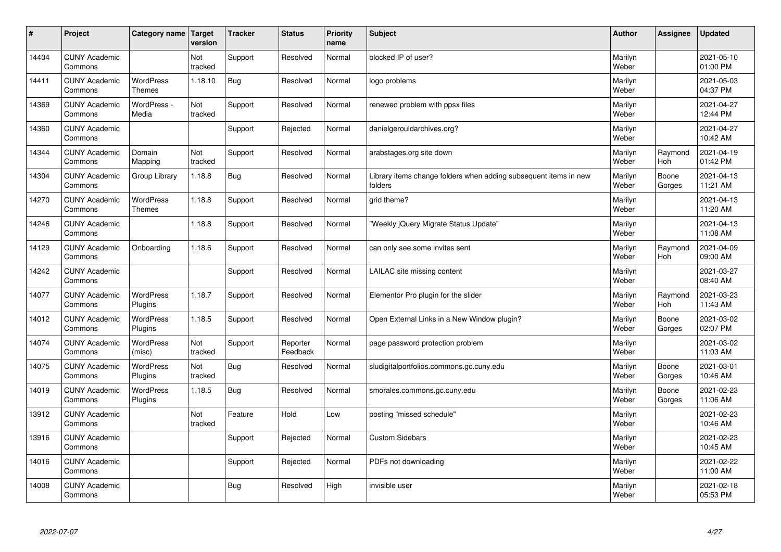| $\vert$ # | Project                         | Category name                     | Target<br>version | <b>Tracker</b> | <b>Status</b>        | <b>Priority</b><br>name | <b>Subject</b>                                                              | <b>Author</b>    | Assignee              | <b>Updated</b>         |
|-----------|---------------------------------|-----------------------------------|-------------------|----------------|----------------------|-------------------------|-----------------------------------------------------------------------------|------------------|-----------------------|------------------------|
| 14404     | <b>CUNY Academic</b><br>Commons |                                   | Not<br>tracked    | Support        | Resolved             | Normal                  | blocked IP of user?                                                         | Marilyn<br>Weber |                       | 2021-05-10<br>01:00 PM |
| 14411     | <b>CUNY Academic</b><br>Commons | <b>WordPress</b><br><b>Themes</b> | 1.18.10           | Bug            | Resolved             | Normal                  | logo problems                                                               | Marilyn<br>Weber |                       | 2021-05-03<br>04:37 PM |
| 14369     | <b>CUNY Academic</b><br>Commons | WordPress -<br>Media              | Not<br>tracked    | Support        | Resolved             | Normal                  | renewed problem with ppsx files                                             | Marilyn<br>Weber |                       | 2021-04-27<br>12:44 PM |
| 14360     | <b>CUNY Academic</b><br>Commons |                                   |                   | Support        | Rejected             | Normal                  | danielgerouldarchives.org?                                                  | Marilyn<br>Weber |                       | 2021-04-27<br>10:42 AM |
| 14344     | <b>CUNY Academic</b><br>Commons | Domain<br>Mapping                 | Not<br>tracked    | Support        | Resolved             | Normal                  | arabstages.org site down                                                    | Marilyn<br>Weber | Raymond<br>Hoh        | 2021-04-19<br>01:42 PM |
| 14304     | <b>CUNY Academic</b><br>Commons | Group Library                     | 1.18.8            | <b>Bug</b>     | Resolved             | Normal                  | Library items change folders when adding subsequent items in new<br>folders | Marilyn<br>Weber | Boone<br>Gorges       | 2021-04-13<br>11:21 AM |
| 14270     | <b>CUNY Academic</b><br>Commons | WordPress<br><b>Themes</b>        | 1.18.8            | Support        | Resolved             | Normal                  | grid theme?                                                                 | Marilyn<br>Weber |                       | 2021-04-13<br>11:20 AM |
| 14246     | <b>CUNY Academic</b><br>Commons |                                   | 1.18.8            | Support        | Resolved             | Normal                  | 'Weekly jQuery Migrate Status Update"                                       | Marilyn<br>Weber |                       | 2021-04-13<br>11:08 AM |
| 14129     | <b>CUNY Academic</b><br>Commons | Onboarding                        | 1.18.6            | Support        | Resolved             | Normal                  | can only see some invites sent                                              | Marilyn<br>Weber | Raymond<br><b>Hoh</b> | 2021-04-09<br>09:00 AM |
| 14242     | <b>CUNY Academic</b><br>Commons |                                   |                   | Support        | Resolved             | Normal                  | LAILAC site missing content                                                 | Marilyn<br>Weber |                       | 2021-03-27<br>08:40 AM |
| 14077     | <b>CUNY Academic</b><br>Commons | <b>WordPress</b><br>Plugins       | 1.18.7            | Support        | Resolved             | Normal                  | Elementor Pro plugin for the slider                                         | Marilyn<br>Weber | Raymond<br>Hoh        | 2021-03-23<br>11:43 AM |
| 14012     | <b>CUNY Academic</b><br>Commons | <b>WordPress</b><br>Plugins       | 1.18.5            | Support        | Resolved             | Normal                  | Open External Links in a New Window plugin?                                 | Marilyn<br>Weber | Boone<br>Gorges       | 2021-03-02<br>02:07 PM |
| 14074     | <b>CUNY Academic</b><br>Commons | WordPress<br>(misc)               | Not<br>tracked    | Support        | Reporter<br>Feedback | Normal                  | page password protection problem                                            | Marilyn<br>Weber |                       | 2021-03-02<br>11:03 AM |
| 14075     | <b>CUNY Academic</b><br>Commons | WordPress<br>Plugins              | Not<br>tracked    | <b>Bug</b>     | Resolved             | Normal                  | sludigitalportfolios.commons.gc.cuny.edu                                    | Marilyn<br>Weber | Boone<br>Gorges       | 2021-03-01<br>10:46 AM |
| 14019     | <b>CUNY Academic</b><br>Commons | <b>WordPress</b><br>Plugins       | 1.18.5            | <b>Bug</b>     | Resolved             | Normal                  | smorales.commons.gc.cuny.edu                                                | Marilyn<br>Weber | Boone<br>Gorges       | 2021-02-23<br>11:06 AM |
| 13912     | <b>CUNY Academic</b><br>Commons |                                   | Not<br>tracked    | Feature        | Hold                 | Low                     | posting "missed schedule"                                                   | Marilyn<br>Weber |                       | 2021-02-23<br>10:46 AM |
| 13916     | <b>CUNY Academic</b><br>Commons |                                   |                   | Support        | Rejected             | Normal                  | <b>Custom Sidebars</b>                                                      | Marilyn<br>Weber |                       | 2021-02-23<br>10:45 AM |
| 14016     | <b>CUNY Academic</b><br>Commons |                                   |                   | Support        | Rejected             | Normal                  | PDFs not downloading                                                        | Marilyn<br>Weber |                       | 2021-02-22<br>11:00 AM |
| 14008     | <b>CUNY Academic</b><br>Commons |                                   |                   | Bug            | Resolved             | High                    | invisible user                                                              | Marilyn<br>Weber |                       | 2021-02-18<br>05:53 PM |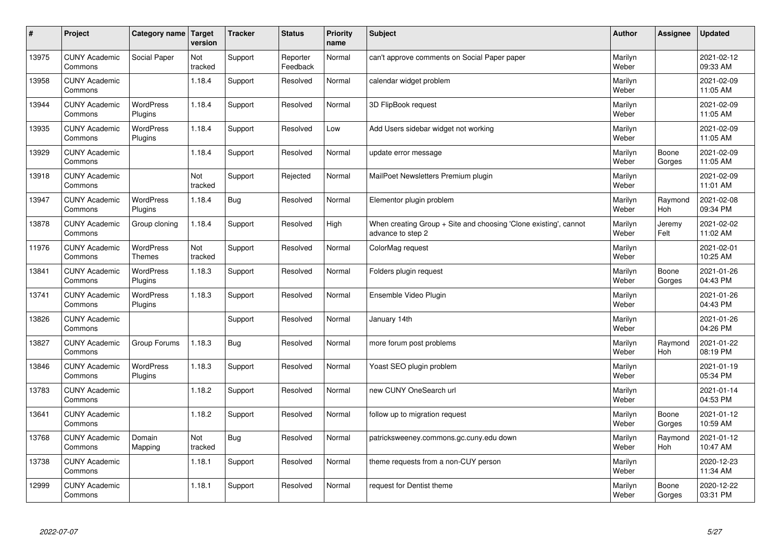| $\sharp$ | Project                         | Category name   Target            | version        | <b>Tracker</b> | <b>Status</b>        | <b>Priority</b><br>name | <b>Subject</b>                                                                        | <b>Author</b>    | <b>Assignee</b>       | <b>Updated</b>         |
|----------|---------------------------------|-----------------------------------|----------------|----------------|----------------------|-------------------------|---------------------------------------------------------------------------------------|------------------|-----------------------|------------------------|
| 13975    | <b>CUNY Academic</b><br>Commons | Social Paper                      | Not<br>tracked | Support        | Reporter<br>Feedback | Normal                  | can't approve comments on Social Paper paper                                          | Marilyn<br>Weber |                       | 2021-02-12<br>09:33 AM |
| 13958    | <b>CUNY Academic</b><br>Commons |                                   | 1.18.4         | Support        | Resolved             | Normal                  | calendar widget problem                                                               | Marilyn<br>Weber |                       | 2021-02-09<br>11:05 AM |
| 13944    | <b>CUNY Academic</b><br>Commons | <b>WordPress</b><br>Plugins       | 1.18.4         | Support        | Resolved             | Normal                  | 3D FlipBook request                                                                   | Marilyn<br>Weber |                       | 2021-02-09<br>11:05 AM |
| 13935    | <b>CUNY Academic</b><br>Commons | <b>WordPress</b><br>Plugins       | 1.18.4         | Support        | Resolved             | Low                     | Add Users sidebar widget not working                                                  | Marilyn<br>Weber |                       | 2021-02-09<br>11:05 AM |
| 13929    | <b>CUNY Academic</b><br>Commons |                                   | 1.18.4         | Support        | Resolved             | Normal                  | update error message                                                                  | Marilyn<br>Weber | Boone<br>Gorges       | 2021-02-09<br>11:05 AM |
| 13918    | <b>CUNY Academic</b><br>Commons |                                   | Not<br>tracked | Support        | Rejected             | Normal                  | MailPoet Newsletters Premium plugin                                                   | Marilyn<br>Weber |                       | 2021-02-09<br>11:01 AM |
| 13947    | <b>CUNY Academic</b><br>Commons | <b>WordPress</b><br>Plugins       | 1.18.4         | Bug            | Resolved             | Normal                  | Elementor plugin problem                                                              | Marilyn<br>Weber | Raymond<br>Hoh        | 2021-02-08<br>09:34 PM |
| 13878    | <b>CUNY Academic</b><br>Commons | Group cloning                     | 1.18.4         | Support        | Resolved             | High                    | When creating Group + Site and choosing 'Clone existing', cannot<br>advance to step 2 | Marilyn<br>Weber | Jeremy<br>Felt        | 2021-02-02<br>11:02 AM |
| 11976    | <b>CUNY Academic</b><br>Commons | <b>WordPress</b><br><b>Themes</b> | Not<br>tracked | Support        | Resolved             | Normal                  | ColorMag request                                                                      | Marilyn<br>Weber |                       | 2021-02-01<br>10:25 AM |
| 13841    | <b>CUNY Academic</b><br>Commons | WordPress<br>Plugins              | 1.18.3         | Support        | Resolved             | Normal                  | Folders plugin request                                                                | Marilyn<br>Weber | Boone<br>Gorges       | 2021-01-26<br>04:43 PM |
| 13741    | <b>CUNY Academic</b><br>Commons | WordPress<br>Plugins              | 1.18.3         | Support        | Resolved             | Normal                  | Ensemble Video Plugin                                                                 | Marilyn<br>Weber |                       | 2021-01-26<br>04:43 PM |
| 13826    | <b>CUNY Academic</b><br>Commons |                                   |                | Support        | Resolved             | Normal                  | January 14th                                                                          | Marilyn<br>Weber |                       | 2021-01-26<br>04:26 PM |
| 13827    | <b>CUNY Academic</b><br>Commons | Group Forums                      | 1.18.3         | Bug            | Resolved             | Normal                  | more forum post problems                                                              | Marilyn<br>Weber | Raymond<br>Hoh        | 2021-01-22<br>08:19 PM |
| 13846    | <b>CUNY Academic</b><br>Commons | WordPress<br>Plugins              | 1.18.3         | Support        | Resolved             | Normal                  | Yoast SEO plugin problem                                                              | Marilyn<br>Weber |                       | 2021-01-19<br>05:34 PM |
| 13783    | <b>CUNY Academic</b><br>Commons |                                   | 1.18.2         | Support        | Resolved             | Normal                  | new CUNY OneSearch url                                                                | Marilyn<br>Weber |                       | 2021-01-14<br>04:53 PM |
| 13641    | <b>CUNY Academic</b><br>Commons |                                   | 1.18.2         | Support        | Resolved             | Normal                  | follow up to migration request                                                        | Marilyn<br>Weber | Boone<br>Gorges       | 2021-01-12<br>10:59 AM |
| 13768    | <b>CUNY Academic</b><br>Commons | Domain<br>Mapping                 | Not<br>tracked | Bug            | Resolved             | Normal                  | patricksweeney.commons.gc.cuny.edu down                                               | Marilyn<br>Weber | Raymond<br><b>Hoh</b> | 2021-01-12<br>10:47 AM |
| 13738    | <b>CUNY Academic</b><br>Commons |                                   | 1.18.1         | Support        | Resolved             | Normal                  | theme requests from a non-CUY person                                                  | Marilyn<br>Weber |                       | 2020-12-23<br>11:34 AM |
| 12999    | <b>CUNY Academic</b><br>Commons |                                   | 1.18.1         | Support        | Resolved             | Normal                  | request for Dentist theme                                                             | Marilyn<br>Weber | Boone<br>Gorges       | 2020-12-22<br>03:31 PM |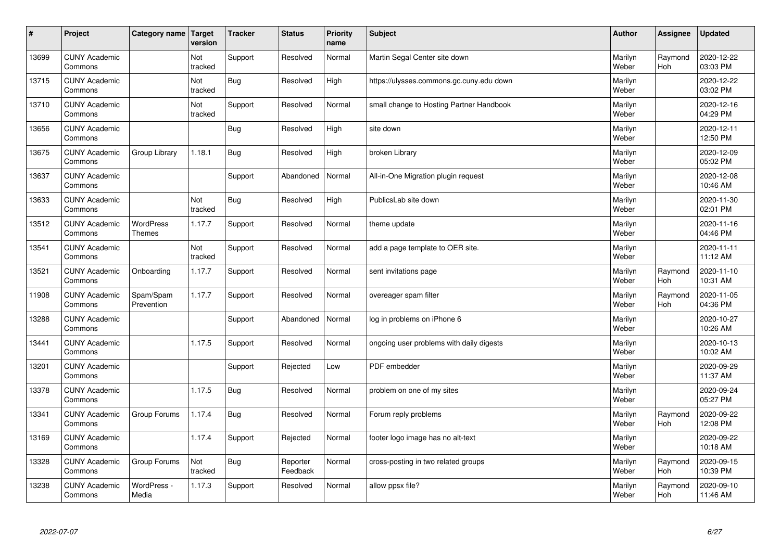| $\sharp$ | Project                         | Category name                     | Target<br>version | <b>Tracker</b> | <b>Status</b>        | <b>Priority</b><br>name | <b>Subject</b>                           | <b>Author</b>    | Assignee       | <b>Updated</b>         |
|----------|---------------------------------|-----------------------------------|-------------------|----------------|----------------------|-------------------------|------------------------------------------|------------------|----------------|------------------------|
| 13699    | <b>CUNY Academic</b><br>Commons |                                   | Not<br>tracked    | Support        | Resolved             | Normal                  | Martin Segal Center site down            | Marilyn<br>Weber | Raymond<br>Hoh | 2020-12-22<br>03:03 PM |
| 13715    | <b>CUNY Academic</b><br>Commons |                                   | Not<br>tracked    | Bug            | Resolved             | High                    | https://ulysses.commons.gc.cuny.edu down | Marilyn<br>Weber |                | 2020-12-22<br>03:02 PM |
| 13710    | <b>CUNY Academic</b><br>Commons |                                   | Not<br>tracked    | Support        | Resolved             | Normal                  | small change to Hosting Partner Handbook | Marilyn<br>Weber |                | 2020-12-16<br>04:29 PM |
| 13656    | <b>CUNY Academic</b><br>Commons |                                   |                   | Bug            | Resolved             | High                    | site down                                | Marilyn<br>Weber |                | 2020-12-11<br>12:50 PM |
| 13675    | <b>CUNY Academic</b><br>Commons | Group Library                     | 1.18.1            | <b>Bug</b>     | Resolved             | High                    | broken Library                           | Marilyn<br>Weber |                | 2020-12-09<br>05:02 PM |
| 13637    | <b>CUNY Academic</b><br>Commons |                                   |                   | Support        | Abandoned            | Normal                  | All-in-One Migration plugin request      | Marilyn<br>Weber |                | 2020-12-08<br>10:46 AM |
| 13633    | <b>CUNY Academic</b><br>Commons |                                   | Not<br>tracked    | <b>Bug</b>     | Resolved             | High                    | PublicsLab site down                     | Marilyn<br>Weber |                | 2020-11-30<br>02:01 PM |
| 13512    | <b>CUNY Academic</b><br>Commons | <b>WordPress</b><br><b>Themes</b> | 1.17.7            | Support        | Resolved             | Normal                  | theme update                             | Marilyn<br>Weber |                | 2020-11-16<br>04:46 PM |
| 13541    | <b>CUNY Academic</b><br>Commons |                                   | Not<br>tracked    | Support        | Resolved             | Normal                  | add a page template to OER site.         | Marilyn<br>Weber |                | 2020-11-11<br>11:12 AM |
| 13521    | <b>CUNY Academic</b><br>Commons | Onboarding                        | 1.17.7            | Support        | Resolved             | Normal                  | sent invitations page                    | Marilyn<br>Weber | Raymond<br>Hoh | 2020-11-10<br>10:31 AM |
| 11908    | <b>CUNY Academic</b><br>Commons | Spam/Spam<br>Prevention           | 1.17.7            | Support        | Resolved             | Normal                  | overeager spam filter                    | Marilyn<br>Weber | Raymond<br>Hoh | 2020-11-05<br>04:36 PM |
| 13288    | <b>CUNY Academic</b><br>Commons |                                   |                   | Support        | Abandoned            | Normal                  | log in problems on iPhone 6              | Marilyn<br>Weber |                | 2020-10-27<br>10:26 AM |
| 13441    | <b>CUNY Academic</b><br>Commons |                                   | 1.17.5            | Support        | Resolved             | Normal                  | ongoing user problems with daily digests | Marilyn<br>Weber |                | 2020-10-13<br>10:02 AM |
| 13201    | <b>CUNY Academic</b><br>Commons |                                   |                   | Support        | Rejected             | Low                     | PDF embedder                             | Marilyn<br>Weber |                | 2020-09-29<br>11:37 AM |
| 13378    | <b>CUNY Academic</b><br>Commons |                                   | 1.17.5            | Bug            | Resolved             | Normal                  | problem on one of my sites               | Marilyn<br>Weber |                | 2020-09-24<br>05:27 PM |
| 13341    | <b>CUNY Academic</b><br>Commons | Group Forums                      | 1.17.4            | Bug            | Resolved             | Normal                  | Forum reply problems                     | Marilyn<br>Weber | Raymond<br>Hoh | 2020-09-22<br>12:08 PM |
| 13169    | <b>CUNY Academic</b><br>Commons |                                   | 1.17.4            | Support        | Rejected             | Normal                  | footer logo image has no alt-text        | Marilyn<br>Weber |                | 2020-09-22<br>10:18 AM |
| 13328    | <b>CUNY Academic</b><br>Commons | Group Forums                      | Not<br>tracked    | Bug            | Reporter<br>Feedback | Normal                  | cross-posting in two related groups      | Marilyn<br>Weber | Raymond<br>Hoh | 2020-09-15<br>10:39 PM |
| 13238    | <b>CUNY Academic</b><br>Commons | WordPress -<br>Media              | 1.17.3            | Support        | Resolved             | Normal                  | allow ppsx file?                         | Marilyn<br>Weber | Raymond<br>Hoh | 2020-09-10<br>11:46 AM |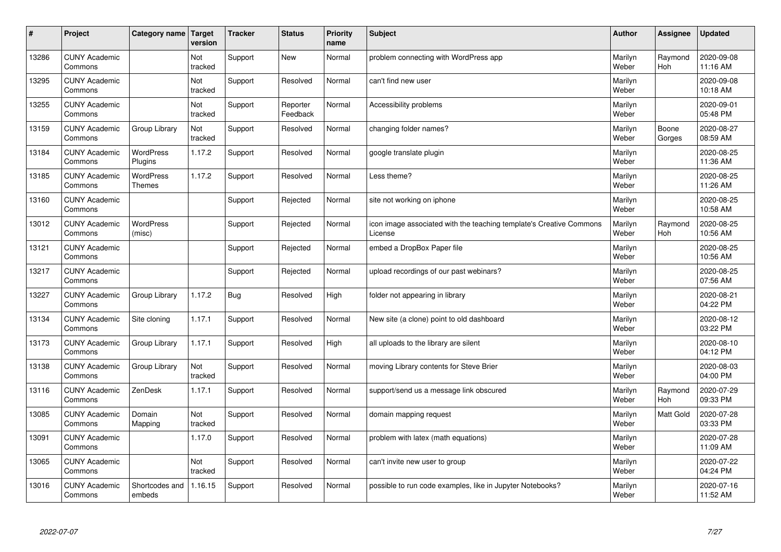| #     | Project                         | Category name                     | Target<br>version | <b>Tracker</b> | <b>Status</b>        | <b>Priority</b><br>name | <b>Subject</b>                                                                 | <b>Author</b>    | Assignee         | <b>Updated</b>         |
|-------|---------------------------------|-----------------------------------|-------------------|----------------|----------------------|-------------------------|--------------------------------------------------------------------------------|------------------|------------------|------------------------|
| 13286 | <b>CUNY Academic</b><br>Commons |                                   | Not<br>tracked    | Support        | <b>New</b>           | Normal                  | problem connecting with WordPress app                                          | Marilyn<br>Weber | Raymond<br>Hoh   | 2020-09-08<br>11:16 AM |
| 13295 | <b>CUNY Academic</b><br>Commons |                                   | Not<br>tracked    | Support        | Resolved             | Normal                  | can't find new user                                                            | Marilyn<br>Weber |                  | 2020-09-08<br>10:18 AM |
| 13255 | <b>CUNY Academic</b><br>Commons |                                   | Not<br>tracked    | Support        | Reporter<br>Feedback | Normal                  | Accessibility problems                                                         | Marilyn<br>Weber |                  | 2020-09-01<br>05:48 PM |
| 13159 | <b>CUNY Academic</b><br>Commons | Group Library                     | Not<br>tracked    | Support        | Resolved             | Normal                  | changing folder names?                                                         | Marilyn<br>Weber | Boone<br>Gorges  | 2020-08-27<br>08:59 AM |
| 13184 | <b>CUNY Academic</b><br>Commons | <b>WordPress</b><br>Plugins       | 1.17.2            | Support        | Resolved             | Normal                  | google translate plugin                                                        | Marilyn<br>Weber |                  | 2020-08-25<br>11:36 AM |
| 13185 | <b>CUNY Academic</b><br>Commons | <b>WordPress</b><br><b>Themes</b> | 1.17.2            | Support        | Resolved             | Normal                  | Less theme?                                                                    | Marilyn<br>Weber |                  | 2020-08-25<br>11:26 AM |
| 13160 | <b>CUNY Academic</b><br>Commons |                                   |                   | Support        | Rejected             | Normal                  | site not working on iphone                                                     | Marilyn<br>Weber |                  | 2020-08-25<br>10:58 AM |
| 13012 | <b>CUNY Academic</b><br>Commons | <b>WordPress</b><br>(misc)        |                   | Support        | Rejected             | Normal                  | icon image associated with the teaching template's Creative Commons<br>License | Marilyn<br>Weber | Raymond<br>Hoh   | 2020-08-25<br>10:56 AM |
| 13121 | <b>CUNY Academic</b><br>Commons |                                   |                   | Support        | Rejected             | Normal                  | embed a DropBox Paper file                                                     | Marilyn<br>Weber |                  | 2020-08-25<br>10:56 AM |
| 13217 | <b>CUNY Academic</b><br>Commons |                                   |                   | Support        | Rejected             | Normal                  | upload recordings of our past webinars?                                        | Marilyn<br>Weber |                  | 2020-08-25<br>07:56 AM |
| 13227 | <b>CUNY Academic</b><br>Commons | Group Library                     | 1.17.2            | <b>Bug</b>     | Resolved             | High                    | folder not appearing in library                                                | Marilyn<br>Weber |                  | 2020-08-21<br>04:22 PM |
| 13134 | <b>CUNY Academic</b><br>Commons | Site cloning                      | 1.17.1            | Support        | Resolved             | Normal                  | New site (a clone) point to old dashboard                                      | Marilyn<br>Weber |                  | 2020-08-12<br>03:22 PM |
| 13173 | <b>CUNY Academic</b><br>Commons | Group Library                     | 1.17.1            | Support        | Resolved             | High                    | all uploads to the library are silent                                          | Marilyn<br>Weber |                  | 2020-08-10<br>04:12 PM |
| 13138 | <b>CUNY Academic</b><br>Commons | Group Library                     | Not<br>tracked    | Support        | Resolved             | Normal                  | moving Library contents for Steve Brier                                        | Marilyn<br>Weber |                  | 2020-08-03<br>04:00 PM |
| 13116 | <b>CUNY Academic</b><br>Commons | ZenDesk                           | 1.17.1            | Support        | Resolved             | Normal                  | support/send us a message link obscured                                        | Marilyn<br>Weber | Raymond<br>Hoh   | 2020-07-29<br>09:33 PM |
| 13085 | <b>CUNY Academic</b><br>Commons | Domain<br>Mapping                 | Not<br>tracked    | Support        | Resolved             | Normal                  | domain mapping request                                                         | Marilyn<br>Weber | <b>Matt Gold</b> | 2020-07-28<br>03:33 PM |
| 13091 | <b>CUNY Academic</b><br>Commons |                                   | 1.17.0            | Support        | Resolved             | Normal                  | problem with latex (math equations)                                            | Marilyn<br>Weber |                  | 2020-07-28<br>11:09 AM |
| 13065 | <b>CUNY Academic</b><br>Commons |                                   | Not<br>tracked    | Support        | Resolved             | Normal                  | can't invite new user to group                                                 | Marilyn<br>Weber |                  | 2020-07-22<br>04:24 PM |
| 13016 | <b>CUNY Academic</b><br>Commons | Shortcodes and<br>embeds          | 1.16.15           | Support        | Resolved             | Normal                  | possible to run code examples, like in Jupyter Notebooks?                      | Marilyn<br>Weber |                  | 2020-07-16<br>11:52 AM |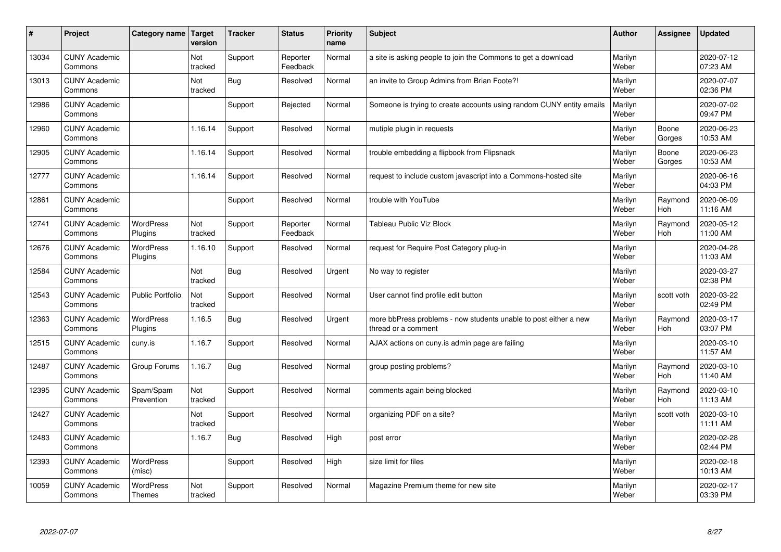| #     | Project                         | Category name               | Target<br>version | <b>Tracker</b> | <b>Status</b>        | <b>Priority</b><br>name | <b>Subject</b>                                                                          | <b>Author</b>    | Assignee              | Updated                |
|-------|---------------------------------|-----------------------------|-------------------|----------------|----------------------|-------------------------|-----------------------------------------------------------------------------------------|------------------|-----------------------|------------------------|
| 13034 | <b>CUNY Academic</b><br>Commons |                             | Not<br>tracked    | Support        | Reporter<br>Feedback | Normal                  | a site is asking people to join the Commons to get a download                           | Marilyn<br>Weber |                       | 2020-07-12<br>07:23 AM |
| 13013 | <b>CUNY Academic</b><br>Commons |                             | Not<br>tracked    | Bug            | Resolved             | Normal                  | an invite to Group Admins from Brian Foote?!                                            | Marilyn<br>Weber |                       | 2020-07-07<br>02:36 PM |
| 12986 | <b>CUNY Academic</b><br>Commons |                             |                   | Support        | Rejected             | Normal                  | Someone is trying to create accounts using random CUNY entity emails                    | Marilyn<br>Weber |                       | 2020-07-02<br>09:47 PM |
| 12960 | <b>CUNY Academic</b><br>Commons |                             | 1.16.14           | Support        | Resolved             | Normal                  | mutiple plugin in requests                                                              | Marilyn<br>Weber | Boone<br>Gorges       | 2020-06-23<br>10:53 AM |
| 12905 | <b>CUNY Academic</b><br>Commons |                             | 1.16.14           | Support        | Resolved             | Normal                  | trouble embedding a flipbook from Flipsnack                                             | Marilyn<br>Weber | Boone<br>Gorges       | 2020-06-23<br>10:53 AM |
| 12777 | <b>CUNY Academic</b><br>Commons |                             | 1.16.14           | Support        | Resolved             | Normal                  | request to include custom javascript into a Commons-hosted site                         | Marilyn<br>Weber |                       | 2020-06-16<br>04:03 PM |
| 12861 | <b>CUNY Academic</b><br>Commons |                             |                   | Support        | Resolved             | Normal                  | trouble with YouTube                                                                    | Marilyn<br>Weber | Raymond<br>Hoh        | 2020-06-09<br>11:16 AM |
| 12741 | <b>CUNY Academic</b><br>Commons | <b>WordPress</b><br>Plugins | Not<br>tracked    | Support        | Reporter<br>Feedback | Normal                  | <b>Tableau Public Viz Block</b>                                                         | Marilyn<br>Weber | Raymond<br>Hoh        | 2020-05-12<br>11:00 AM |
| 12676 | <b>CUNY Academic</b><br>Commons | <b>WordPress</b><br>Plugins | 1.16.10           | Support        | Resolved             | Normal                  | request for Require Post Category plug-in                                               | Marilyn<br>Weber |                       | 2020-04-28<br>11:03 AM |
| 12584 | <b>CUNY Academic</b><br>Commons |                             | Not<br>tracked    | Bug            | Resolved             | Urgent                  | No way to register                                                                      | Marilyn<br>Weber |                       | 2020-03-27<br>02:38 PM |
| 12543 | <b>CUNY Academic</b><br>Commons | <b>Public Portfolio</b>     | Not<br>tracked    | Support        | Resolved             | Normal                  | User cannot find profile edit button                                                    | Marilyn<br>Weber | scott voth            | 2020-03-22<br>02:49 PM |
| 12363 | <b>CUNY Academic</b><br>Commons | <b>WordPress</b><br>Plugins | 1.16.5            | Bug            | Resolved             | Urgent                  | more bbPress problems - now students unable to post either a new<br>thread or a comment | Marilyn<br>Weber | Raymond<br>Hoh        | 2020-03-17<br>03:07 PM |
| 12515 | <b>CUNY Academic</b><br>Commons | cuny.is                     | 1.16.7            | Support        | Resolved             | Normal                  | AJAX actions on cuny is admin page are failing                                          | Marilyn<br>Weber |                       | 2020-03-10<br>11:57 AM |
| 12487 | <b>CUNY Academic</b><br>Commons | Group Forums                | 1.16.7            | Bug            | Resolved             | Normal                  | group posting problems?                                                                 | Marilyn<br>Weber | Raymond<br><b>Hoh</b> | 2020-03-10<br>11:40 AM |
| 12395 | <b>CUNY Academic</b><br>Commons | Spam/Spam<br>Prevention     | Not<br>tracked    | Support        | Resolved             | Normal                  | comments again being blocked                                                            | Marilyn<br>Weber | Raymond<br><b>Hoh</b> | 2020-03-10<br>11:13 AM |
| 12427 | <b>CUNY Academic</b><br>Commons |                             | Not<br>tracked    | Support        | Resolved             | Normal                  | organizing PDF on a site?                                                               | Marilyn<br>Weber | scott voth            | 2020-03-10<br>11:11 AM |
| 12483 | <b>CUNY Academic</b><br>Commons |                             | 1.16.7            | Bug            | Resolved             | High                    | post error                                                                              | Marilyn<br>Weber |                       | 2020-02-28<br>02:44 PM |
| 12393 | <b>CUNY Academic</b><br>Commons | <b>WordPress</b><br>(misc)  |                   | Support        | Resolved             | High                    | size limit for files                                                                    | Marilyn<br>Weber |                       | 2020-02-18<br>10:13 AM |
| 10059 | <b>CUNY Academic</b><br>Commons | <b>WordPress</b><br>Themes  | Not<br>tracked    | Support        | Resolved             | Normal                  | Magazine Premium theme for new site                                                     | Marilyn<br>Weber |                       | 2020-02-17<br>03:39 PM |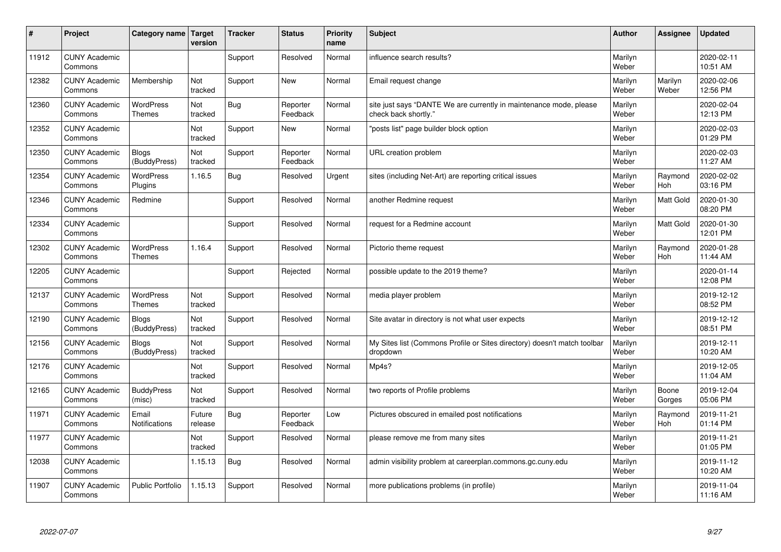| #     | Project                         | Category name   Target            | version           | <b>Tracker</b> | <b>Status</b>        | <b>Priority</b><br>name | <b>Subject</b>                                                                             | <b>Author</b>    | Assignee              | Updated                |
|-------|---------------------------------|-----------------------------------|-------------------|----------------|----------------------|-------------------------|--------------------------------------------------------------------------------------------|------------------|-----------------------|------------------------|
| 11912 | <b>CUNY Academic</b><br>Commons |                                   |                   | Support        | Resolved             | Normal                  | influence search results?                                                                  | Marilyn<br>Weber |                       | 2020-02-11<br>10:51 AM |
| 12382 | <b>CUNY Academic</b><br>Commons | Membership                        | Not<br>tracked    | Support        | New                  | Normal                  | Email request change                                                                       | Marilyn<br>Weber | Marilyn<br>Weber      | 2020-02-06<br>12:56 PM |
| 12360 | <b>CUNY Academic</b><br>Commons | <b>WordPress</b><br><b>Themes</b> | Not<br>tracked    | Bug            | Reporter<br>Feedback | Normal                  | site just says "DANTE We are currently in maintenance mode, please<br>check back shortly." | Marilyn<br>Weber |                       | 2020-02-04<br>12:13 PM |
| 12352 | <b>CUNY Academic</b><br>Commons |                                   | Not<br>tracked    | Support        | <b>New</b>           | Normal                  | 'posts list" page builder block option                                                     | Marilyn<br>Weber |                       | 2020-02-03<br>01:29 PM |
| 12350 | <b>CUNY Academic</b><br>Commons | <b>Blogs</b><br>(BuddyPress)      | Not<br>tracked    | Support        | Reporter<br>Feedback | Normal                  | URL creation problem                                                                       | Marilyn<br>Weber |                       | 2020-02-03<br>11:27 AM |
| 12354 | <b>CUNY Academic</b><br>Commons | WordPress<br>Plugins              | 1.16.5            | Bug            | Resolved             | Urgent                  | sites (including Net-Art) are reporting critical issues                                    | Marilyn<br>Weber | Raymond<br>Hoh        | 2020-02-02<br>03:16 PM |
| 12346 | <b>CUNY Academic</b><br>Commons | Redmine                           |                   | Support        | Resolved             | Normal                  | another Redmine request                                                                    | Marilyn<br>Weber | Matt Gold             | 2020-01-30<br>08:20 PM |
| 12334 | <b>CUNY Academic</b><br>Commons |                                   |                   | Support        | Resolved             | Normal                  | request for a Redmine account                                                              | Marilyn<br>Weber | Matt Gold             | 2020-01-30<br>12:01 PM |
| 12302 | <b>CUNY Academic</b><br>Commons | <b>WordPress</b><br><b>Themes</b> | 1.16.4            | Support        | Resolved             | Normal                  | Pictorio theme request                                                                     | Marilyn<br>Weber | Raymond<br><b>Hoh</b> | 2020-01-28<br>11:44 AM |
| 12205 | <b>CUNY Academic</b><br>Commons |                                   |                   | Support        | Rejected             | Normal                  | possible update to the 2019 theme?                                                         | Marilyn<br>Weber |                       | 2020-01-14<br>12:08 PM |
| 12137 | <b>CUNY Academic</b><br>Commons | <b>WordPress</b><br><b>Themes</b> | Not<br>tracked    | Support        | Resolved             | Normal                  | media player problem                                                                       | Marilyn<br>Weber |                       | 2019-12-12<br>08:52 PM |
| 12190 | <b>CUNY Academic</b><br>Commons | Blogs<br>(BuddyPress)             | Not<br>tracked    | Support        | Resolved             | Normal                  | Site avatar in directory is not what user expects                                          | Marilyn<br>Weber |                       | 2019-12-12<br>08:51 PM |
| 12156 | <b>CUNY Academic</b><br>Commons | <b>Blogs</b><br>(BuddyPress)      | Not<br>tracked    | Support        | Resolved             | Normal                  | My Sites list (Commons Profile or Sites directory) doesn't match toolbar<br>dropdown       | Marilyn<br>Weber |                       | 2019-12-11<br>10:20 AM |
| 12176 | <b>CUNY Academic</b><br>Commons |                                   | Not<br>tracked    | Support        | Resolved             | Normal                  | Mp4s?                                                                                      | Marilyn<br>Weber |                       | 2019-12-05<br>11:04 AM |
| 12165 | <b>CUNY Academic</b><br>Commons | <b>BuddyPress</b><br>(misc)       | Not<br>tracked    | Support        | Resolved             | Normal                  | two reports of Profile problems                                                            | Marilyn<br>Weber | Boone<br>Gorges       | 2019-12-04<br>05:06 PM |
| 11971 | <b>CUNY Academic</b><br>Commons | Email<br><b>Notifications</b>     | Future<br>release | Bug            | Reporter<br>Feedback | Low                     | Pictures obscured in emailed post notifications                                            | Marilyn<br>Weber | Raymond<br><b>Hoh</b> | 2019-11-21<br>01:14 PM |
| 11977 | <b>CUNY Academic</b><br>Commons |                                   | Not<br>tracked    | Support        | Resolved             | Normal                  | please remove me from many sites                                                           | Marilyn<br>Weber |                       | 2019-11-21<br>01:05 PM |
| 12038 | <b>CUNY Academic</b><br>Commons |                                   | 1.15.13           | Bug            | Resolved             | Normal                  | admin visibility problem at careerplan.commons.gc.cuny.edu                                 | Marilyn<br>Weber |                       | 2019-11-12<br>10:20 AM |
| 11907 | <b>CUNY Academic</b><br>Commons | <b>Public Portfolio</b>           | 1.15.13           | Support        | Resolved             | Normal                  | more publications problems (in profile)                                                    | Marilyn<br>Weber |                       | 2019-11-04<br>11:16 AM |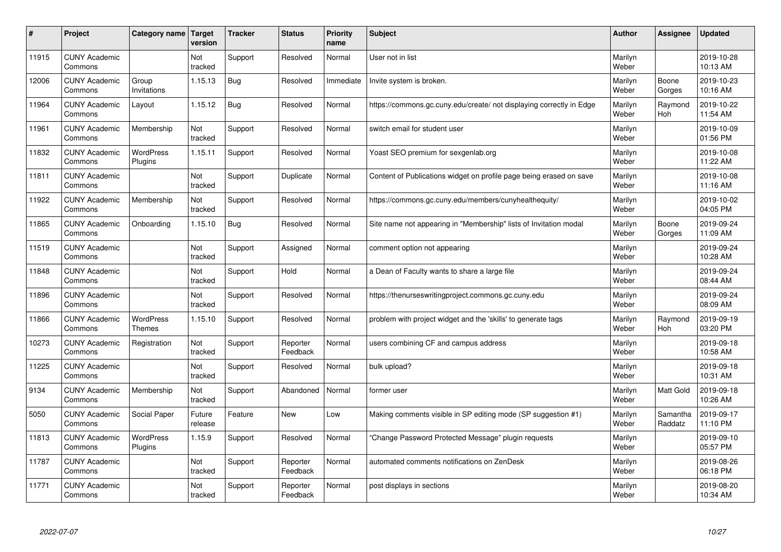| #     | Project                         | Category name   Target            | version           | <b>Tracker</b> | <b>Status</b>        | <b>Priority</b><br>name | <b>Subject</b>                                                       | <b>Author</b>    | Assignee              | <b>Updated</b>         |
|-------|---------------------------------|-----------------------------------|-------------------|----------------|----------------------|-------------------------|----------------------------------------------------------------------|------------------|-----------------------|------------------------|
| 11915 | <b>CUNY Academic</b><br>Commons |                                   | Not<br>tracked    | Support        | Resolved             | Normal                  | User not in list                                                     | Marilyn<br>Weber |                       | 2019-10-28<br>10:13 AM |
| 12006 | <b>CUNY Academic</b><br>Commons | Group<br>Invitations              | 1.15.13           | Bug            | Resolved             | Immediate               | Invite system is broken.                                             | Marilyn<br>Weber | Boone<br>Gorges       | 2019-10-23<br>10:16 AM |
| 11964 | <b>CUNY Academic</b><br>Commons | Layout                            | 1.15.12           | Bug            | Resolved             | Normal                  | https://commons.gc.cuny.edu/create/ not displaying correctly in Edge | Marilyn<br>Weber | Raymond<br>Hoh        | 2019-10-22<br>11:54 AM |
| 11961 | <b>CUNY Academic</b><br>Commons | Membership                        | Not<br>tracked    | Support        | Resolved             | Normal                  | switch email for student user                                        | Marilyn<br>Weber |                       | 2019-10-09<br>01:56 PM |
| 11832 | <b>CUNY Academic</b><br>Commons | <b>WordPress</b><br>Plugins       | 1.15.11           | Support        | Resolved             | Normal                  | Yoast SEO premium for sexgenlab.org                                  | Marilyn<br>Weber |                       | 2019-10-08<br>11:22 AM |
| 11811 | <b>CUNY Academic</b><br>Commons |                                   | Not<br>tracked    | Support        | Duplicate            | Normal                  | Content of Publications widget on profile page being erased on save  | Marilyn<br>Weber |                       | 2019-10-08<br>11:16 AM |
| 11922 | <b>CUNY Academic</b><br>Commons | Membership                        | Not<br>tracked    | Support        | Resolved             | Normal                  | https://commons.gc.cuny.edu/members/cunyhealthequity/                | Marilyn<br>Weber |                       | 2019-10-02<br>04:05 PM |
| 11865 | <b>CUNY Academic</b><br>Commons | Onboarding                        | 1.15.10           | Bug            | Resolved             | Normal                  | Site name not appearing in "Membership" lists of Invitation modal    | Marilyn<br>Weber | Boone<br>Gorges       | 2019-09-24<br>11:09 AM |
| 11519 | <b>CUNY Academic</b><br>Commons |                                   | Not<br>tracked    | Support        | Assigned             | Normal                  | comment option not appearing                                         | Marilyn<br>Weber |                       | 2019-09-24<br>10:28 AM |
| 11848 | <b>CUNY Academic</b><br>Commons |                                   | Not<br>tracked    | Support        | Hold                 | Normal                  | a Dean of Faculty wants to share a large file                        | Marilyn<br>Weber |                       | 2019-09-24<br>08:44 AM |
| 11896 | <b>CUNY Academic</b><br>Commons |                                   | Not<br>tracked    | Support        | Resolved             | Normal                  | https://thenurseswritingproject.commons.gc.cuny.edu                  | Marilyn<br>Weber |                       | 2019-09-24<br>08:09 AM |
| 11866 | <b>CUNY Academic</b><br>Commons | <b>WordPress</b><br><b>Themes</b> | 1.15.10           | Support        | Resolved             | Normal                  | problem with project widget and the 'skills' to generate tags        | Marilyn<br>Weber | Raymond<br><b>Hoh</b> | 2019-09-19<br>03:20 PM |
| 10273 | <b>CUNY Academic</b><br>Commons | Registration                      | Not<br>tracked    | Support        | Reporter<br>Feedback | Normal                  | users combining CF and campus address                                | Marilyn<br>Weber |                       | 2019-09-18<br>10:58 AM |
| 11225 | <b>CUNY Academic</b><br>Commons |                                   | Not<br>tracked    | Support        | Resolved             | Normal                  | bulk upload?                                                         | Marilyn<br>Weber |                       | 2019-09-18<br>10:31 AM |
| 9134  | <b>CUNY Academic</b><br>Commons | Membership                        | Not<br>tracked    | Support        | Abandoned            | Normal                  | former user                                                          | Marilyn<br>Weber | <b>Matt Gold</b>      | 2019-09-18<br>10:26 AM |
| 5050  | <b>CUNY Academic</b><br>Commons | Social Paper                      | Future<br>release | Feature        | <b>New</b>           | Low                     | Making comments visible in SP editing mode (SP suggestion #1)        | Marilyn<br>Weber | Samantha<br>Raddatz   | 2019-09-17<br>11:10 PM |
| 11813 | <b>CUNY Academic</b><br>Commons | WordPress<br>Plugins              | 1.15.9            | Support        | Resolved             | Normal                  | 'Change Password Protected Message" plugin requests                  | Marilyn<br>Weber |                       | 2019-09-10<br>05:57 PM |
| 11787 | <b>CUNY Academic</b><br>Commons |                                   | Not<br>tracked    | Support        | Reporter<br>Feedback | Normal                  | automated comments notifications on ZenDesk                          | Marilyn<br>Weber |                       | 2019-08-26<br>06:18 PM |
| 11771 | <b>CUNY Academic</b><br>Commons |                                   | Not<br>tracked    | Support        | Reporter<br>Feedback | Normal                  | post displays in sections                                            | Marilyn<br>Weber |                       | 2019-08-20<br>10:34 AM |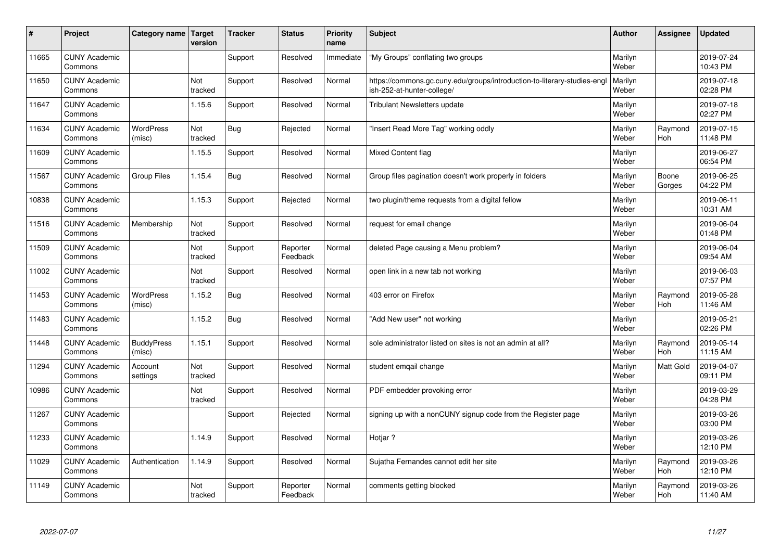| $\sharp$ | Project                         | Category name   Target      | version        | <b>Tracker</b> | <b>Status</b>        | <b>Priority</b><br>name | <b>Subject</b>                                                                                        | <b>Author</b>    | Assignee         | <b>Updated</b>         |
|----------|---------------------------------|-----------------------------|----------------|----------------|----------------------|-------------------------|-------------------------------------------------------------------------------------------------------|------------------|------------------|------------------------|
| 11665    | <b>CUNY Academic</b><br>Commons |                             |                | Support        | Resolved             | Immediate               | "My Groups" conflating two groups                                                                     | Marilyn<br>Weber |                  | 2019-07-24<br>10:43 PM |
| 11650    | <b>CUNY Academic</b><br>Commons |                             | Not<br>tracked | Support        | Resolved             | Normal                  | https://commons.gc.cuny.edu/groups/introduction-to-literary-studies-eng<br>ish-252-at-hunter-college/ | Marilyn<br>Weber |                  | 2019-07-18<br>02:28 PM |
| 11647    | <b>CUNY Academic</b><br>Commons |                             | 1.15.6         | Support        | Resolved             | Normal                  | <b>Tribulant Newsletters update</b>                                                                   | Marilyn<br>Weber |                  | 2019-07-18<br>02:27 PM |
| 11634    | <b>CUNY Academic</b><br>Commons | <b>WordPress</b><br>(misc)  | Not<br>tracked | Bug            | Rejected             | Normal                  | 'Insert Read More Tag" working oddly                                                                  | Marilyn<br>Weber | Raymond<br>Hoh   | 2019-07-15<br>11:48 PM |
| 11609    | <b>CUNY Academic</b><br>Commons |                             | 1.15.5         | Support        | Resolved             | Normal                  | Mixed Content flag                                                                                    | Marilyn<br>Weber |                  | 2019-06-27<br>06:54 PM |
| 11567    | <b>CUNY Academic</b><br>Commons | <b>Group Files</b>          | 1.15.4         | Bug            | Resolved             | Normal                  | Group files pagination doesn't work properly in folders                                               | Marilyn<br>Weber | Boone<br>Gorges  | 2019-06-25<br>04:22 PM |
| 10838    | <b>CUNY Academic</b><br>Commons |                             | 1.15.3         | Support        | Rejected             | Normal                  | two plugin/theme requests from a digital fellow                                                       | Marilyn<br>Weber |                  | 2019-06-11<br>10:31 AM |
| 11516    | <b>CUNY Academic</b><br>Commons | Membership                  | Not<br>tracked | Support        | Resolved             | Normal                  | request for email change                                                                              | Marilyn<br>Weber |                  | 2019-06-04<br>01:48 PM |
| 11509    | <b>CUNY Academic</b><br>Commons |                             | Not<br>tracked | Support        | Reporter<br>Feedback | Normal                  | deleted Page causing a Menu problem?                                                                  | Marilyn<br>Weber |                  | 2019-06-04<br>09:54 AM |
| 11002    | <b>CUNY Academic</b><br>Commons |                             | Not<br>tracked | Support        | Resolved             | Normal                  | open link in a new tab not working                                                                    | Marilyn<br>Weber |                  | 2019-06-03<br>07:57 PM |
| 11453    | <b>CUNY Academic</b><br>Commons | <b>WordPress</b><br>(misc)  | 1.15.2         | Bug            | Resolved             | Normal                  | 403 error on Firefox                                                                                  | Marilyn<br>Weber | Raymond<br>Hoh   | 2019-05-28<br>11:46 AM |
| 11483    | <b>CUNY Academic</b><br>Commons |                             | 1.15.2         | Bug            | Resolved             | Normal                  | 'Add New user" not working                                                                            | Marilyn<br>Weber |                  | 2019-05-21<br>02:26 PM |
| 11448    | <b>CUNY Academic</b><br>Commons | <b>BuddyPress</b><br>(misc) | 1.15.1         | Support        | Resolved             | Normal                  | sole administrator listed on sites is not an admin at all?                                            | Marilyn<br>Weber | Raymond<br>Hoh   | 2019-05-14<br>11:15 AM |
| 11294    | <b>CUNY Academic</b><br>Commons | Account<br>settings         | Not<br>tracked | Support        | Resolved             | Normal                  | student emgail change                                                                                 | Marilyn<br>Weber | <b>Matt Gold</b> | 2019-04-07<br>09:11 PM |
| 10986    | <b>CUNY Academic</b><br>Commons |                             | Not<br>tracked | Support        | Resolved             | Normal                  | PDF embedder provoking error                                                                          | Marilyn<br>Weber |                  | 2019-03-29<br>04:28 PM |
| 11267    | <b>CUNY Academic</b><br>Commons |                             |                | Support        | Rejected             | Normal                  | signing up with a nonCUNY signup code from the Register page                                          | Marilyn<br>Weber |                  | 2019-03-26<br>03:00 PM |
| 11233    | <b>CUNY Academic</b><br>Commons |                             | 1.14.9         | Support        | Resolved             | Normal                  | Hotjar?                                                                                               | Marilyn<br>Weber |                  | 2019-03-26<br>12:10 PM |
| 11029    | <b>CUNY Academic</b><br>Commons | Authentication              | 1.14.9         | Support        | Resolved             | Normal                  | Sujatha Fernandes cannot edit her site                                                                | Marilyn<br>Weber | Raymond<br>Hoh   | 2019-03-26<br>12:10 PM |
| 11149    | <b>CUNY Academic</b><br>Commons |                             | Not<br>tracked | Support        | Reporter<br>Feedback | Normal                  | comments getting blocked                                                                              | Marilyn<br>Weber | Raymond<br>Hoh   | 2019-03-26<br>11:40 AM |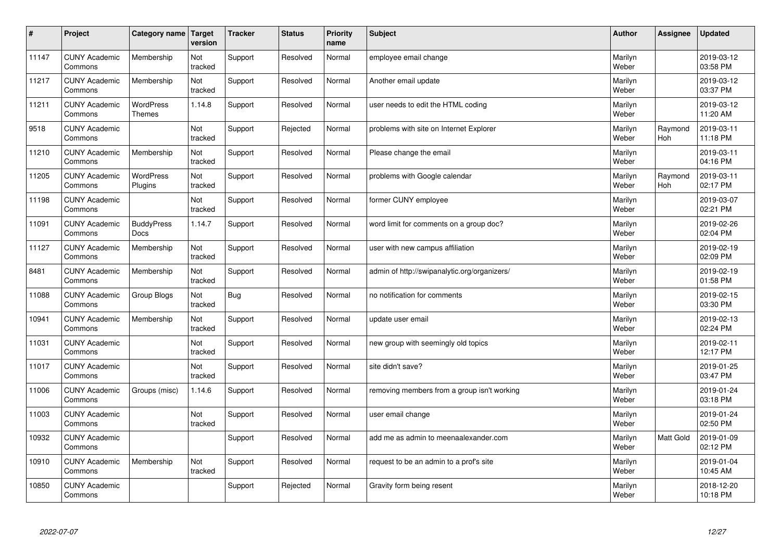| $\sharp$ | Project                         | Category name   Target            | version        | <b>Tracker</b> | <b>Status</b> | <b>Priority</b><br>name | <b>Subject</b>                               | <b>Author</b>    | Assignee              | Updated                |
|----------|---------------------------------|-----------------------------------|----------------|----------------|---------------|-------------------------|----------------------------------------------|------------------|-----------------------|------------------------|
| 11147    | <b>CUNY Academic</b><br>Commons | Membership                        | Not<br>tracked | Support        | Resolved      | Normal                  | employee email change                        | Marilyn<br>Weber |                       | 2019-03-12<br>03:58 PM |
| 11217    | <b>CUNY Academic</b><br>Commons | Membership                        | Not<br>tracked | Support        | Resolved      | Normal                  | Another email update                         | Marilyn<br>Weber |                       | 2019-03-12<br>03:37 PM |
| 11211    | <b>CUNY Academic</b><br>Commons | <b>WordPress</b><br><b>Themes</b> | 1.14.8         | Support        | Resolved      | Normal                  | user needs to edit the HTML coding           | Marilyn<br>Weber |                       | 2019-03-12<br>11:20 AM |
| 9518     | <b>CUNY Academic</b><br>Commons |                                   | Not<br>tracked | Support        | Rejected      | Normal                  | problems with site on Internet Explorer      | Marilyn<br>Weber | Raymond<br><b>Hoh</b> | 2019-03-11<br>11:18 PM |
| 11210    | <b>CUNY Academic</b><br>Commons | Membership                        | Not<br>tracked | Support        | Resolved      | Normal                  | Please change the email                      | Marilyn<br>Weber |                       | 2019-03-11<br>04:16 PM |
| 11205    | <b>CUNY Academic</b><br>Commons | WordPress<br>Plugins              | Not<br>tracked | Support        | Resolved      | Normal                  | problems with Google calendar                | Marilyn<br>Weber | Raymond<br>Hoh        | 2019-03-11<br>02:17 PM |
| 11198    | <b>CUNY Academic</b><br>Commons |                                   | Not<br>tracked | Support        | Resolved      | Normal                  | former CUNY employee                         | Marilyn<br>Weber |                       | 2019-03-07<br>02:21 PM |
| 11091    | <b>CUNY Academic</b><br>Commons | <b>BuddyPress</b><br>Docs         | 1.14.7         | Support        | Resolved      | Normal                  | word limit for comments on a group doc?      | Marilyn<br>Weber |                       | 2019-02-26<br>02:04 PM |
| 11127    | <b>CUNY Academic</b><br>Commons | Membership                        | Not<br>tracked | Support        | Resolved      | Normal                  | user with new campus affiliation             | Marilyn<br>Weber |                       | 2019-02-19<br>02:09 PM |
| 8481     | <b>CUNY Academic</b><br>Commons | Membership                        | Not<br>tracked | Support        | Resolved      | Normal                  | admin of http://swipanalytic.org/organizers/ | Marilyn<br>Weber |                       | 2019-02-19<br>01:58 PM |
| 11088    | <b>CUNY Academic</b><br>Commons | Group Blogs                       | Not<br>tracked | Bug            | Resolved      | Normal                  | no notification for comments                 | Marilyn<br>Weber |                       | 2019-02-15<br>03:30 PM |
| 10941    | <b>CUNY Academic</b><br>Commons | Membership                        | Not<br>tracked | Support        | Resolved      | Normal                  | update user email                            | Marilyn<br>Weber |                       | 2019-02-13<br>02:24 PM |
| 11031    | <b>CUNY Academic</b><br>Commons |                                   | Not<br>tracked | Support        | Resolved      | Normal                  | new group with seemingly old topics          | Marilyn<br>Weber |                       | 2019-02-11<br>12:17 PM |
| 11017    | <b>CUNY Academic</b><br>Commons |                                   | Not<br>tracked | Support        | Resolved      | Normal                  | site didn't save?                            | Marilyn<br>Weber |                       | 2019-01-25<br>03:47 PM |
| 11006    | <b>CUNY Academic</b><br>Commons | Groups (misc)                     | 1.14.6         | Support        | Resolved      | Normal                  | removing members from a group isn't working  | Marilyn<br>Weber |                       | 2019-01-24<br>03:18 PM |
| 11003    | <b>CUNY Academic</b><br>Commons |                                   | Not<br>tracked | Support        | Resolved      | Normal                  | user email change                            | Marilyn<br>Weber |                       | 2019-01-24<br>02:50 PM |
| 10932    | <b>CUNY Academic</b><br>Commons |                                   |                | Support        | Resolved      | Normal                  | add me as admin to meenaalexander.com        | Marilyn<br>Weber | Matt Gold             | 2019-01-09<br>02:12 PM |
| 10910    | <b>CUNY Academic</b><br>Commons | Membership                        | Not<br>tracked | Support        | Resolved      | Normal                  | request to be an admin to a prof's site      | Marilyn<br>Weber |                       | 2019-01-04<br>10:45 AM |
| 10850    | <b>CUNY Academic</b><br>Commons |                                   |                | Support        | Rejected      | Normal                  | Gravity form being resent                    | Marilyn<br>Weber |                       | 2018-12-20<br>10:18 PM |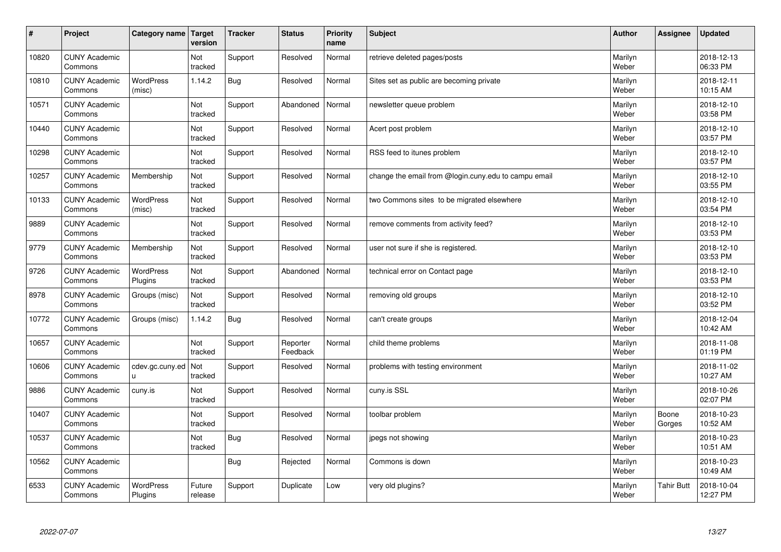| $\pmb{\#}$ | Project                         | Category name               | Target<br>version | <b>Tracker</b> | <b>Status</b>        | <b>Priority</b><br>name | <b>Subject</b>                                       | <b>Author</b>    | Assignee        | <b>Updated</b>         |
|------------|---------------------------------|-----------------------------|-------------------|----------------|----------------------|-------------------------|------------------------------------------------------|------------------|-----------------|------------------------|
| 10820      | <b>CUNY Academic</b><br>Commons |                             | Not<br>tracked    | Support        | Resolved             | Normal                  | retrieve deleted pages/posts                         | Marilyn<br>Weber |                 | 2018-12-13<br>06:33 PM |
| 10810      | <b>CUNY Academic</b><br>Commons | <b>WordPress</b><br>(misc)  | 1.14.2            | <b>Bug</b>     | Resolved             | Normal                  | Sites set as public are becoming private             | Marilyn<br>Weber |                 | 2018-12-11<br>10:15 AM |
| 10571      | <b>CUNY Academic</b><br>Commons |                             | Not<br>tracked    | Support        | Abandoned            | Normal                  | newsletter queue problem                             | Marilyn<br>Weber |                 | 2018-12-10<br>03:58 PM |
| 10440      | <b>CUNY Academic</b><br>Commons |                             | Not<br>tracked    | Support        | Resolved             | Normal                  | Acert post problem                                   | Marilyn<br>Weber |                 | 2018-12-10<br>03:57 PM |
| 10298      | <b>CUNY Academic</b><br>Commons |                             | Not<br>tracked    | Support        | Resolved             | Normal                  | RSS feed to itunes problem                           | Marilyn<br>Weber |                 | 2018-12-10<br>03:57 PM |
| 10257      | <b>CUNY Academic</b><br>Commons | Membership                  | Not<br>tracked    | Support        | Resolved             | Normal                  | change the email from @login.cuny.edu to campu email | Marilyn<br>Weber |                 | 2018-12-10<br>03:55 PM |
| 10133      | <b>CUNY Academic</b><br>Commons | <b>WordPress</b><br>(misc)  | Not<br>tracked    | Support        | Resolved             | Normal                  | two Commons sites to be migrated elsewhere           | Marilyn<br>Weber |                 | 2018-12-10<br>03:54 PM |
| 9889       | <b>CUNY Academic</b><br>Commons |                             | Not<br>tracked    | Support        | Resolved             | Normal                  | remove comments from activity feed?                  | Marilyn<br>Weber |                 | 2018-12-10<br>03:53 PM |
| 9779       | <b>CUNY Academic</b><br>Commons | Membership                  | Not<br>tracked    | Support        | Resolved             | Normal                  | user not sure if she is registered.                  | Marilyn<br>Weber |                 | 2018-12-10<br>03:53 PM |
| 9726       | <b>CUNY Academic</b><br>Commons | <b>WordPress</b><br>Plugins | Not<br>tracked    | Support        | Abandoned            | Normal                  | technical error on Contact page                      | Marilyn<br>Weber |                 | 2018-12-10<br>03:53 PM |
| 8978       | <b>CUNY Academic</b><br>Commons | Groups (misc)               | Not<br>tracked    | Support        | Resolved             | Normal                  | removing old groups                                  | Marilyn<br>Weber |                 | 2018-12-10<br>03:52 PM |
| 10772      | <b>CUNY Academic</b><br>Commons | Groups (misc)               | 1.14.2            | Bug            | Resolved             | Normal                  | can't create groups                                  | Marilyn<br>Weber |                 | 2018-12-04<br>10:42 AM |
| 10657      | <b>CUNY Academic</b><br>Commons |                             | Not<br>tracked    | Support        | Reporter<br>Feedback | Normal                  | child theme problems                                 | Marilyn<br>Weber |                 | 2018-11-08<br>01:19 PM |
| 10606      | <b>CUNY Academic</b><br>Commons | cdev.gc.cuny.ed<br>U.       | Not<br>tracked    | Support        | Resolved             | Normal                  | problems with testing environment                    | Marilyn<br>Weber |                 | 2018-11-02<br>10:27 AM |
| 9886       | <b>CUNY Academic</b><br>Commons | cuny.is                     | Not<br>tracked    | Support        | Resolved             | Normal                  | cuny.is SSL                                          | Marilyn<br>Weber |                 | 2018-10-26<br>02:07 PM |
| 10407      | <b>CUNY Academic</b><br>Commons |                             | Not<br>tracked    | Support        | Resolved             | Normal                  | toolbar problem                                      | Marilyn<br>Weber | Boone<br>Gorges | 2018-10-23<br>10:52 AM |
| 10537      | <b>CUNY Academic</b><br>Commons |                             | Not<br>tracked    | <b>Bug</b>     | Resolved             | Normal                  | jpegs not showing                                    | Marilyn<br>Weber |                 | 2018-10-23<br>10:51 AM |
| 10562      | <b>CUNY Academic</b><br>Commons |                             |                   | <b>Bug</b>     | Rejected             | Normal                  | Commons is down                                      | Marilyn<br>Weber |                 | 2018-10-23<br>10:49 AM |
| 6533       | <b>CUNY Academic</b><br>Commons | <b>WordPress</b><br>Plugins | Future<br>release | Support        | Duplicate            | Low                     | very old plugins?                                    | Marilyn<br>Weber | Tahir Butt      | 2018-10-04<br>12:27 PM |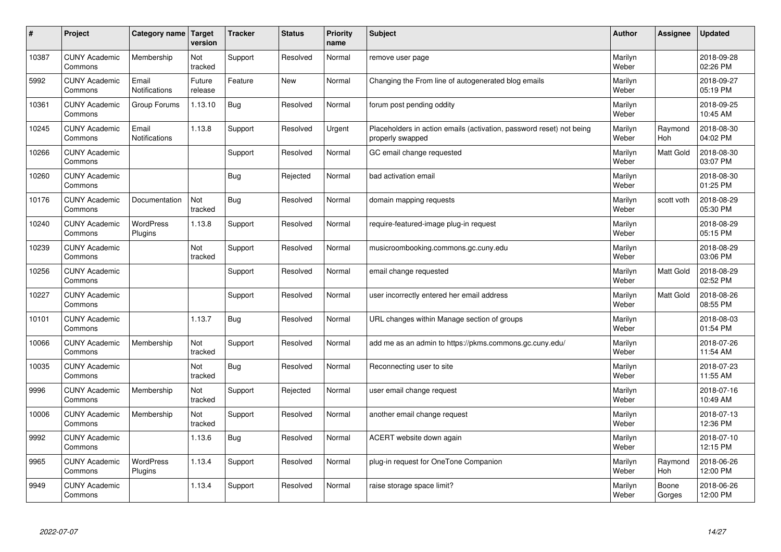| #     | Project                         | Category name   Target | version           | <b>Tracker</b> | <b>Status</b> | <b>Priority</b><br>name | <b>Subject</b>                                                                           | <b>Author</b>    | Assignee         | <b>Updated</b>         |
|-------|---------------------------------|------------------------|-------------------|----------------|---------------|-------------------------|------------------------------------------------------------------------------------------|------------------|------------------|------------------------|
| 10387 | <b>CUNY Academic</b><br>Commons | Membership             | Not<br>tracked    | Support        | Resolved      | Normal                  | remove user page                                                                         | Marilyn<br>Weber |                  | 2018-09-28<br>02:26 PM |
| 5992  | <b>CUNY Academic</b><br>Commons | Email<br>Notifications | Future<br>release | Feature        | <b>New</b>    | Normal                  | Changing the From line of autogenerated blog emails                                      | Marilyn<br>Weber |                  | 2018-09-27<br>05:19 PM |
| 10361 | <b>CUNY Academic</b><br>Commons | Group Forums           | 1.13.10           | <b>Bug</b>     | Resolved      | Normal                  | forum post pending oddity                                                                | Marilyn<br>Weber |                  | 2018-09-25<br>10:45 AM |
| 10245 | <b>CUNY Academic</b><br>Commons | Email<br>Notifications | 1.13.8            | Support        | Resolved      | Urgent                  | Placeholders in action emails (activation, password reset) not being<br>properly swapped | Marilyn<br>Weber | Raymond<br>Hoh   | 2018-08-30<br>04:02 PM |
| 10266 | <b>CUNY Academic</b><br>Commons |                        |                   | Support        | Resolved      | Normal                  | GC email change requested                                                                | Marilyn<br>Weber | <b>Matt Gold</b> | 2018-08-30<br>03:07 PM |
| 10260 | <b>CUNY Academic</b><br>Commons |                        |                   | <b>Bug</b>     | Rejected      | Normal                  | bad activation email                                                                     | Marilyn<br>Weber |                  | 2018-08-30<br>01:25 PM |
| 10176 | <b>CUNY Academic</b><br>Commons | Documentation          | Not<br>tracked    | <b>Bug</b>     | Resolved      | Normal                  | domain mapping requests                                                                  | Marilyn<br>Weber | scott voth       | 2018-08-29<br>05:30 PM |
| 10240 | <b>CUNY Academic</b><br>Commons | WordPress<br>Plugins   | 1.13.8            | Support        | Resolved      | Normal                  | require-featured-image plug-in request                                                   | Marilyn<br>Weber |                  | 2018-08-29<br>05:15 PM |
| 10239 | <b>CUNY Academic</b><br>Commons |                        | Not<br>tracked    | Support        | Resolved      | Normal                  | musicroombooking.commons.gc.cuny.edu                                                     | Marilyn<br>Weber |                  | 2018-08-29<br>03:06 PM |
| 10256 | <b>CUNY Academic</b><br>Commons |                        |                   | Support        | Resolved      | Normal                  | email change requested                                                                   | Marilyn<br>Weber | Matt Gold        | 2018-08-29<br>02:52 PM |
| 10227 | <b>CUNY Academic</b><br>Commons |                        |                   | Support        | Resolved      | Normal                  | user incorrectly entered her email address                                               | Marilyn<br>Weber | Matt Gold        | 2018-08-26<br>08:55 PM |
| 10101 | <b>CUNY Academic</b><br>Commons |                        | 1.13.7            | Bug            | Resolved      | Normal                  | URL changes within Manage section of groups                                              | Marilyn<br>Weber |                  | 2018-08-03<br>01:54 PM |
| 10066 | <b>CUNY Academic</b><br>Commons | Membership             | Not<br>tracked    | Support        | Resolved      | Normal                  | add me as an admin to https://pkms.commons.gc.cuny.edu/                                  | Marilyn<br>Weber |                  | 2018-07-26<br>11:54 AM |
| 10035 | <b>CUNY Academic</b><br>Commons |                        | Not<br>tracked    | <b>Bug</b>     | Resolved      | Normal                  | Reconnecting user to site                                                                | Marilyn<br>Weber |                  | 2018-07-23<br>11:55 AM |
| 9996  | <b>CUNY Academic</b><br>Commons | Membership             | Not<br>tracked    | Support        | Rejected      | Normal                  | user email change request                                                                | Marilyn<br>Weber |                  | 2018-07-16<br>10:49 AM |
| 10006 | <b>CUNY Academic</b><br>Commons | Membership             | Not<br>tracked    | Support        | Resolved      | Normal                  | another email change request                                                             | Marilyn<br>Weber |                  | 2018-07-13<br>12:36 PM |
| 9992  | <b>CUNY Academic</b><br>Commons |                        | 1.13.6            | <b>Bug</b>     | Resolved      | Normal                  | ACERT website down again                                                                 | Marilyn<br>Weber |                  | 2018-07-10<br>12:15 PM |
| 9965  | <b>CUNY Academic</b><br>Commons | WordPress<br>Plugins   | 1.13.4            | Support        | Resolved      | Normal                  | plug-in request for OneTone Companion                                                    | Marilyn<br>Weber | Raymond<br>Hoh   | 2018-06-26<br>12:00 PM |
| 9949  | <b>CUNY Academic</b><br>Commons |                        | 1.13.4            | Support        | Resolved      | Normal                  | raise storage space limit?                                                               | Marilyn<br>Weber | Boone<br>Gorges  | 2018-06-26<br>12:00 PM |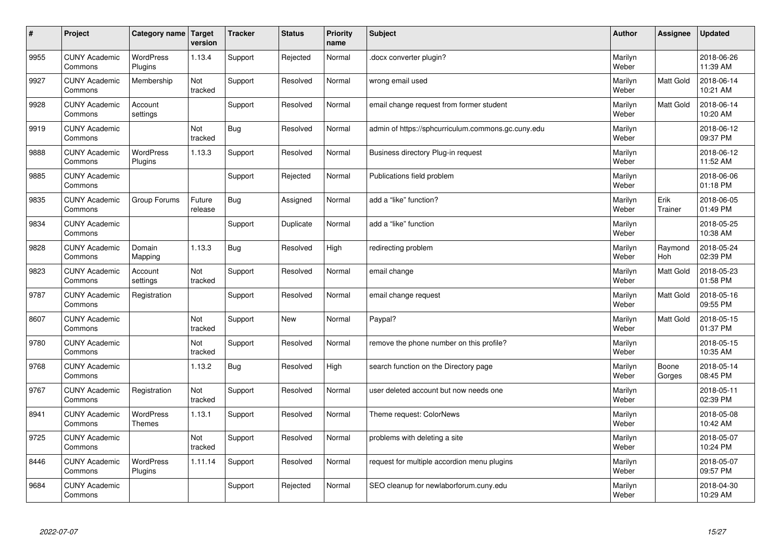| $\vert$ # | Project                         | Category name   Target            | version           | <b>Tracker</b> | <b>Status</b> | <b>Priority</b><br>name | <b>Subject</b>                                     | <b>Author</b>    | Assignee        | <b>Updated</b>         |
|-----------|---------------------------------|-----------------------------------|-------------------|----------------|---------------|-------------------------|----------------------------------------------------|------------------|-----------------|------------------------|
| 9955      | <b>CUNY Academic</b><br>Commons | <b>WordPress</b><br>Plugins       | 1.13.4            | Support        | Rejected      | Normal                  | docx converter plugin?                             | Marilyn<br>Weber |                 | 2018-06-26<br>11:39 AM |
| 9927      | <b>CUNY Academic</b><br>Commons | Membership                        | Not<br>tracked    | Support        | Resolved      | Normal                  | wrong email used                                   | Marilyn<br>Weber | Matt Gold       | 2018-06-14<br>10:21 AM |
| 9928      | <b>CUNY Academic</b><br>Commons | Account<br>settings               |                   | Support        | Resolved      | Normal                  | email change request from former student           | Marilyn<br>Weber | Matt Gold       | 2018-06-14<br>10:20 AM |
| 9919      | <b>CUNY Academic</b><br>Commons |                                   | Not<br>tracked    | <b>Bug</b>     | Resolved      | Normal                  | admin of https://sphcurriculum.commons.gc.cuny.edu | Marilyn<br>Weber |                 | 2018-06-12<br>09:37 PM |
| 9888      | <b>CUNY Academic</b><br>Commons | <b>WordPress</b><br>Plugins       | 1.13.3            | Support        | Resolved      | Normal                  | Business directory Plug-in request                 | Marilyn<br>Weber |                 | 2018-06-12<br>11:52 AM |
| 9885      | <b>CUNY Academic</b><br>Commons |                                   |                   | Support        | Rejected      | Normal                  | Publications field problem                         | Marilyn<br>Weber |                 | 2018-06-06<br>01:18 PM |
| 9835      | <b>CUNY Academic</b><br>Commons | Group Forums                      | Future<br>release | <b>Bug</b>     | Assigned      | Normal                  | add a "like" function?                             | Marilyn<br>Weber | Erik<br>Trainer | 2018-06-05<br>01:49 PM |
| 9834      | <b>CUNY Academic</b><br>Commons |                                   |                   | Support        | Duplicate     | Normal                  | add a "like" function                              | Marilyn<br>Weber |                 | 2018-05-25<br>10:38 AM |
| 9828      | <b>CUNY Academic</b><br>Commons | Domain<br>Mapping                 | 1.13.3            | Bug            | Resolved      | High                    | redirecting problem                                | Marilyn<br>Weber | Raymond<br>Hoh  | 2018-05-24<br>02:39 PM |
| 9823      | <b>CUNY Academic</b><br>Commons | Account<br>settings               | Not<br>tracked    | Support        | Resolved      | Normal                  | email change                                       | Marilyn<br>Weber | Matt Gold       | 2018-05-23<br>01:58 PM |
| 9787      | <b>CUNY Academic</b><br>Commons | Registration                      |                   | Support        | Resolved      | Normal                  | email change request                               | Marilyn<br>Weber | Matt Gold       | 2018-05-16<br>09:55 PM |
| 8607      | <b>CUNY Academic</b><br>Commons |                                   | Not<br>tracked    | Support        | <b>New</b>    | Normal                  | Paypal?                                            | Marilyn<br>Weber | Matt Gold       | 2018-05-15<br>01:37 PM |
| 9780      | <b>CUNY Academic</b><br>Commons |                                   | Not<br>tracked    | Support        | Resolved      | Normal                  | remove the phone number on this profile?           | Marilyn<br>Weber |                 | 2018-05-15<br>10:35 AM |
| 9768      | <b>CUNY Academic</b><br>Commons |                                   | 1.13.2            | <b>Bug</b>     | Resolved      | High                    | search function on the Directory page              | Marilyn<br>Weber | Boone<br>Gorges | 2018-05-14<br>08:45 PM |
| 9767      | <b>CUNY Academic</b><br>Commons | Registration                      | Not<br>tracked    | Support        | Resolved      | Normal                  | user deleted account but now needs one             | Marilyn<br>Weber |                 | 2018-05-11<br>02:39 PM |
| 8941      | <b>CUNY Academic</b><br>Commons | <b>WordPress</b><br><b>Themes</b> | 1.13.1            | Support        | Resolved      | Normal                  | Theme request: ColorNews                           | Marilyn<br>Weber |                 | 2018-05-08<br>10:42 AM |
| 9725      | <b>CUNY Academic</b><br>Commons |                                   | Not<br>tracked    | Support        | Resolved      | Normal                  | problems with deleting a site                      | Marilyn<br>Weber |                 | 2018-05-07<br>10:24 PM |
| 8446      | <b>CUNY Academic</b><br>Commons | WordPress<br>Plugins              | 1.11.14           | Support        | Resolved      | Normal                  | request for multiple accordion menu plugins        | Marilyn<br>Weber |                 | 2018-05-07<br>09:57 PM |
| 9684      | <b>CUNY Academic</b><br>Commons |                                   |                   | Support        | Rejected      | Normal                  | SEO cleanup for newlaborforum.cuny.edu             | Marilyn<br>Weber |                 | 2018-04-30<br>10:29 AM |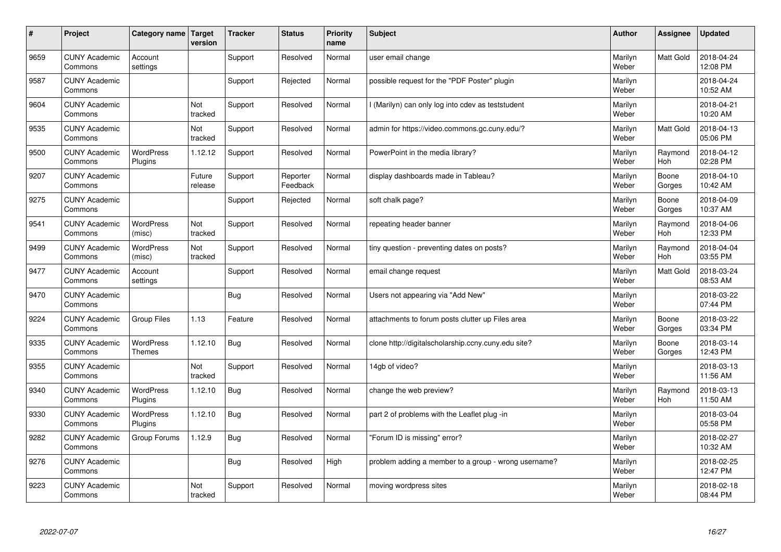| #    | Project                         | Category name   Target            | version           | <b>Tracker</b> | <b>Status</b>        | <b>Priority</b><br>name | <b>Subject</b>                                       | <b>Author</b>    | Assignee              | Updated                |
|------|---------------------------------|-----------------------------------|-------------------|----------------|----------------------|-------------------------|------------------------------------------------------|------------------|-----------------------|------------------------|
| 9659 | <b>CUNY Academic</b><br>Commons | Account<br>settings               |                   | Support        | Resolved             | Normal                  | user email change                                    | Marilyn<br>Weber | <b>Matt Gold</b>      | 2018-04-24<br>12:08 PM |
| 9587 | <b>CUNY Academic</b><br>Commons |                                   |                   | Support        | Rejected             | Normal                  | possible request for the "PDF Poster" plugin         | Marilyn<br>Weber |                       | 2018-04-24<br>10:52 AM |
| 9604 | <b>CUNY Academic</b><br>Commons |                                   | Not<br>tracked    | Support        | Resolved             | Normal                  | I (Marilyn) can only log into cdev as teststudent    | Marilyn<br>Weber |                       | 2018-04-21<br>10:20 AM |
| 9535 | <b>CUNY Academic</b><br>Commons |                                   | Not<br>tracked    | Support        | Resolved             | Normal                  | admin for https://video.commons.gc.cuny.edu/?        | Marilyn<br>Weber | Matt Gold             | 2018-04-13<br>05:06 PM |
| 9500 | <b>CUNY Academic</b><br>Commons | <b>WordPress</b><br>Plugins       | 1.12.12           | Support        | Resolved             | Normal                  | PowerPoint in the media library?                     | Marilyn<br>Weber | Raymond<br>Hoh        | 2018-04-12<br>02:28 PM |
| 9207 | <b>CUNY Academic</b><br>Commons |                                   | Future<br>release | Support        | Reporter<br>Feedback | Normal                  | display dashboards made in Tableau?                  | Marilyn<br>Weber | Boone<br>Gorges       | 2018-04-10<br>10:42 AM |
| 9275 | <b>CUNY Academic</b><br>Commons |                                   |                   | Support        | Rejected             | Normal                  | soft chalk page?                                     | Marilyn<br>Weber | Boone<br>Gorges       | 2018-04-09<br>10:37 AM |
| 9541 | <b>CUNY Academic</b><br>Commons | <b>WordPress</b><br>(misc)        | Not<br>tracked    | Support        | Resolved             | Normal                  | repeating header banner                              | Marilyn<br>Weber | Raymond<br>Hoh        | 2018-04-06<br>12:33 PM |
| 9499 | <b>CUNY Academic</b><br>Commons | <b>WordPress</b><br>(misc)        | Not<br>tracked    | Support        | Resolved             | Normal                  | tiny question - preventing dates on posts?           | Marilyn<br>Weber | Raymond<br><b>Hoh</b> | 2018-04-04<br>03:55 PM |
| 9477 | <b>CUNY Academic</b><br>Commons | Account<br>settings               |                   | Support        | Resolved             | Normal                  | email change request                                 | Marilyn<br>Weber | <b>Matt Gold</b>      | 2018-03-24<br>08:53 AM |
| 9470 | <b>CUNY Academic</b><br>Commons |                                   |                   | <b>Bug</b>     | Resolved             | Normal                  | Users not appearing via "Add New"                    | Marilyn<br>Weber |                       | 2018-03-22<br>07:44 PM |
| 9224 | <b>CUNY Academic</b><br>Commons | <b>Group Files</b>                | 1.13              | Feature        | Resolved             | Normal                  | attachments to forum posts clutter up Files area     | Marilyn<br>Weber | Boone<br>Gorges       | 2018-03-22<br>03:34 PM |
| 9335 | <b>CUNY Academic</b><br>Commons | <b>WordPress</b><br><b>Themes</b> | 1.12.10           | Bug            | Resolved             | Normal                  | clone http://digitalscholarship.ccny.cuny.edu site?  | Marilyn<br>Weber | Boone<br>Gorges       | 2018-03-14<br>12:43 PM |
| 9355 | <b>CUNY Academic</b><br>Commons |                                   | Not<br>tracked    | Support        | Resolved             | Normal                  | 14gb of video?                                       | Marilyn<br>Weber |                       | 2018-03-13<br>11:56 AM |
| 9340 | <b>CUNY Academic</b><br>Commons | <b>WordPress</b><br>Plugins       | 1.12.10           | Bug            | Resolved             | Normal                  | change the web preview?                              | Marilyn<br>Weber | Raymond<br><b>Hoh</b> | 2018-03-13<br>11:50 AM |
| 9330 | <b>CUNY Academic</b><br>Commons | <b>WordPress</b><br>Plugins       | 1.12.10           | Bug            | Resolved             | Normal                  | part 2 of problems with the Leaflet plug -in         | Marilyn<br>Weber |                       | 2018-03-04<br>05:58 PM |
| 9282 | <b>CUNY Academic</b><br>Commons | Group Forums                      | 1.12.9            | Bug            | Resolved             | Normal                  | 'Forum ID is missing" error?                         | Marilyn<br>Weber |                       | 2018-02-27<br>10:32 AM |
| 9276 | <b>CUNY Academic</b><br>Commons |                                   |                   | Bug            | Resolved             | High                    | problem adding a member to a group - wrong username? | Marilyn<br>Weber |                       | 2018-02-25<br>12:47 PM |
| 9223 | <b>CUNY Academic</b><br>Commons |                                   | Not<br>tracked    | Support        | Resolved             | Normal                  | moving wordpress sites                               | Marilyn<br>Weber |                       | 2018-02-18<br>08:44 PM |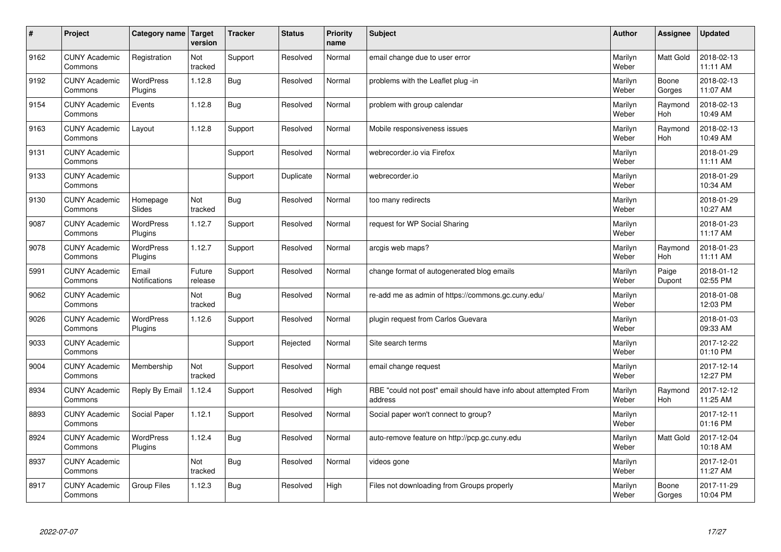| $\vert$ # | Project                         | Category name               | <b>Target</b><br>version | <b>Tracker</b> | <b>Status</b> | <b>Priority</b><br>name | <b>Subject</b>                                                              | <b>Author</b>    | <b>Assignee</b>       | <b>Updated</b>         |
|-----------|---------------------------------|-----------------------------|--------------------------|----------------|---------------|-------------------------|-----------------------------------------------------------------------------|------------------|-----------------------|------------------------|
| 9162      | <b>CUNY Academic</b><br>Commons | Registration                | Not<br>tracked           | Support        | Resolved      | Normal                  | email change due to user error                                              | Marilyn<br>Weber | <b>Matt Gold</b>      | 2018-02-13<br>11:11 AM |
| 9192      | <b>CUNY Academic</b><br>Commons | <b>WordPress</b><br>Plugins | 1.12.8                   | Bug            | Resolved      | Normal                  | problems with the Leaflet plug -in                                          | Marilyn<br>Weber | Boone<br>Gorges       | 2018-02-13<br>11:07 AM |
| 9154      | <b>CUNY Academic</b><br>Commons | Events                      | 1.12.8                   | Bug            | Resolved      | Normal                  | problem with group calendar                                                 | Marilyn<br>Weber | Raymond<br><b>Hoh</b> | 2018-02-13<br>10:49 AM |
| 9163      | <b>CUNY Academic</b><br>Commons | Layout                      | 1.12.8                   | Support        | Resolved      | Normal                  | Mobile responsiveness issues                                                | Marilyn<br>Weber | Raymond<br><b>Hoh</b> | 2018-02-13<br>10:49 AM |
| 9131      | <b>CUNY Academic</b><br>Commons |                             |                          | Support        | Resolved      | Normal                  | webrecorder.io via Firefox                                                  | Marilyn<br>Weber |                       | 2018-01-29<br>11:11 AM |
| 9133      | <b>CUNY Academic</b><br>Commons |                             |                          | Support        | Duplicate     | Normal                  | webrecorder.io                                                              | Marilyn<br>Weber |                       | 2018-01-29<br>10:34 AM |
| 9130      | <b>CUNY Academic</b><br>Commons | Homepage<br>Slides          | Not<br>tracked           | Bug            | Resolved      | Normal                  | too many redirects                                                          | Marilyn<br>Weber |                       | 2018-01-29<br>10:27 AM |
| 9087      | <b>CUNY Academic</b><br>Commons | WordPress<br>Plugins        | 1.12.7                   | Support        | Resolved      | Normal                  | request for WP Social Sharing                                               | Marilyn<br>Weber |                       | 2018-01-23<br>11:17 AM |
| 9078      | <b>CUNY Academic</b><br>Commons | WordPress<br>Plugins        | 1.12.7                   | Support        | Resolved      | Normal                  | arcgis web maps?                                                            | Marilyn<br>Weber | Raymond<br>Hoh        | 2018-01-23<br>11:11 AM |
| 5991      | <b>CUNY Academic</b><br>Commons | Email<br>Notifications      | Future<br>release        | Support        | Resolved      | Normal                  | change format of autogenerated blog emails                                  | Marilyn<br>Weber | Paige<br>Dupont       | 2018-01-12<br>02:55 PM |
| 9062      | <b>CUNY Academic</b><br>Commons |                             | Not<br>tracked           | Bug            | Resolved      | Normal                  | re-add me as admin of https://commons.gc.cuny.edu/                          | Marilyn<br>Weber |                       | 2018-01-08<br>12:03 PM |
| 9026      | <b>CUNY Academic</b><br>Commons | <b>WordPress</b><br>Plugins | 1.12.6                   | Support        | Resolved      | Normal                  | plugin request from Carlos Guevara                                          | Marilyn<br>Weber |                       | 2018-01-03<br>09:33 AM |
| 9033      | <b>CUNY Academic</b><br>Commons |                             |                          | Support        | Rejected      | Normal                  | Site search terms                                                           | Marilyn<br>Weber |                       | 2017-12-22<br>01:10 PM |
| 9004      | <b>CUNY Academic</b><br>Commons | Membership                  | Not<br>tracked           | Support        | Resolved      | Normal                  | email change request                                                        | Marilyn<br>Weber |                       | 2017-12-14<br>12:27 PM |
| 8934      | <b>CUNY Academic</b><br>Commons | Reply By Email              | 1.12.4                   | Support        | Resolved      | High                    | RBE "could not post" email should have info about attempted From<br>address | Marilyn<br>Weber | Raymond<br><b>Hoh</b> | 2017-12-12<br>11:25 AM |
| 8893      | <b>CUNY Academic</b><br>Commons | Social Paper                | 1.12.1                   | Support        | Resolved      | Normal                  | Social paper won't connect to group?                                        | Marilyn<br>Weber |                       | 2017-12-11<br>01:16 PM |
| 8924      | <b>CUNY Academic</b><br>Commons | <b>WordPress</b><br>Plugins | 1.12.4                   | Bug            | Resolved      | Normal                  | auto-remove feature on http://pcp.gc.cuny.edu                               | Marilyn<br>Weber | Matt Gold             | 2017-12-04<br>10:18 AM |
| 8937      | <b>CUNY Academic</b><br>Commons |                             | Not<br>tracked           | Bug            | Resolved      | Normal                  | videos gone                                                                 | Marilyn<br>Weber |                       | 2017-12-01<br>11:27 AM |
| 8917      | <b>CUNY Academic</b><br>Commons | <b>Group Files</b>          | 1.12.3                   | Bug            | Resolved      | High                    | Files not downloading from Groups properly                                  | Marilyn<br>Weber | Boone<br>Gorges       | 2017-11-29<br>10:04 PM |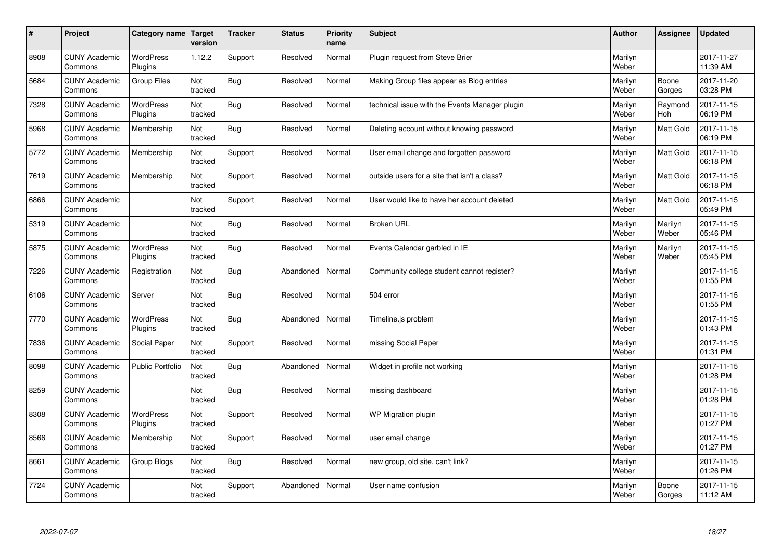| #    | Project                         | Category name               | <b>Target</b><br>version | <b>Tracker</b> | <b>Status</b> | <b>Priority</b><br>name | <b>Subject</b>                                 | <b>Author</b>    | Assignee         | <b>Updated</b>         |
|------|---------------------------------|-----------------------------|--------------------------|----------------|---------------|-------------------------|------------------------------------------------|------------------|------------------|------------------------|
| 8908 | <b>CUNY Academic</b><br>Commons | <b>WordPress</b><br>Plugins | 1.12.2                   | Support        | Resolved      | Normal                  | Plugin request from Steve Brier                | Marilyn<br>Weber |                  | 2017-11-27<br>11:39 AM |
| 5684 | <b>CUNY Academic</b><br>Commons | Group Files                 | Not<br>tracked           | <b>Bug</b>     | Resolved      | Normal                  | Making Group files appear as Blog entries      | Marilyn<br>Weber | Boone<br>Gorges  | 2017-11-20<br>03:28 PM |
| 7328 | <b>CUNY Academic</b><br>Commons | <b>WordPress</b><br>Plugins | Not<br>tracked           | Bug            | Resolved      | Normal                  | technical issue with the Events Manager plugin | Marilyn<br>Weber | Raymond<br>Hoh   | 2017-11-15<br>06:19 PM |
| 5968 | <b>CUNY Academic</b><br>Commons | Membership                  | Not<br>tracked           | Bug            | Resolved      | Normal                  | Deleting account without knowing password      | Marilyn<br>Weber | Matt Gold        | 2017-11-15<br>06:19 PM |
| 5772 | <b>CUNY Academic</b><br>Commons | Membership                  | <b>Not</b><br>tracked    | Support        | Resolved      | Normal                  | User email change and forgotten password       | Marilyn<br>Weber | <b>Matt Gold</b> | 2017-11-15<br>06:18 PM |
| 7619 | <b>CUNY Academic</b><br>Commons | Membership                  | Not<br>tracked           | Support        | Resolved      | Normal                  | outside users for a site that isn't a class?   | Marilyn<br>Weber | <b>Matt Gold</b> | 2017-11-15<br>06:18 PM |
| 6866 | <b>CUNY Academic</b><br>Commons |                             | Not<br>tracked           | Support        | Resolved      | Normal                  | User would like to have her account deleted    | Marilyn<br>Weber | Matt Gold        | 2017-11-15<br>05:49 PM |
| 5319 | <b>CUNY Academic</b><br>Commons |                             | Not<br>tracked           | Bug            | Resolved      | Normal                  | <b>Broken URL</b>                              | Marilyn<br>Weber | Marilyn<br>Weber | 2017-11-15<br>05:46 PM |
| 5875 | <b>CUNY Academic</b><br>Commons | WordPress<br>Plugins        | Not<br>tracked           | <b>Bug</b>     | Resolved      | Normal                  | Events Calendar garbled in IE                  | Marilyn<br>Weber | Marilyn<br>Weber | 2017-11-15<br>05:45 PM |
| 7226 | <b>CUNY Academic</b><br>Commons | Registration                | Not<br>tracked           | Bug            | Abandoned     | Normal                  | Community college student cannot register?     | Marilyn<br>Weber |                  | 2017-11-15<br>01:55 PM |
| 6106 | <b>CUNY Academic</b><br>Commons | Server                      | Not<br>tracked           | Bug            | Resolved      | Normal                  | 504 error                                      | Marilyn<br>Weber |                  | 2017-11-15<br>01:55 PM |
| 7770 | <b>CUNY Academic</b><br>Commons | WordPress<br>Plugins        | Not<br>tracked           | Bug            | Abandoned     | Normal                  | Timeline.js problem                            | Marilyn<br>Weber |                  | 2017-11-15<br>01:43 PM |
| 7836 | <b>CUNY Academic</b><br>Commons | Social Paper                | Not<br>tracked           | Support        | Resolved      | Normal                  | missing Social Paper                           | Marilyn<br>Weber |                  | 2017-11-15<br>01:31 PM |
| 8098 | <b>CUNY Academic</b><br>Commons | <b>Public Portfolio</b>     | Not<br>tracked           | Bug            | Abandoned     | Normal                  | Widget in profile not working                  | Marilyn<br>Weber |                  | 2017-11-15<br>01:28 PM |
| 8259 | <b>CUNY Academic</b><br>Commons |                             | Not<br>tracked           | <b>Bug</b>     | Resolved      | Normal                  | missing dashboard                              | Marilyn<br>Weber |                  | 2017-11-15<br>01:28 PM |
| 8308 | <b>CUNY Academic</b><br>Commons | WordPress<br>Plugins        | Not<br>tracked           | Support        | Resolved      | Normal                  | WP Migration plugin                            | Marilyn<br>Weber |                  | 2017-11-15<br>01:27 PM |
| 8566 | <b>CUNY Academic</b><br>Commons | Membership                  | Not<br>tracked           | Support        | Resolved      | Normal                  | user email change                              | Marilyn<br>Weber |                  | 2017-11-15<br>01:27 PM |
| 8661 | <b>CUNY Academic</b><br>Commons | Group Blogs                 | Not<br>tracked           | <b>Bug</b>     | Resolved      | Normal                  | new group, old site, can't link?               | Marilyn<br>Weber |                  | 2017-11-15<br>01:26 PM |
| 7724 | <b>CUNY Academic</b><br>Commons |                             | Not<br>tracked           | Support        | Abandoned     | Normal                  | User name confusion                            | Marilyn<br>Weber | Boone<br>Gorges  | 2017-11-15<br>11:12 AM |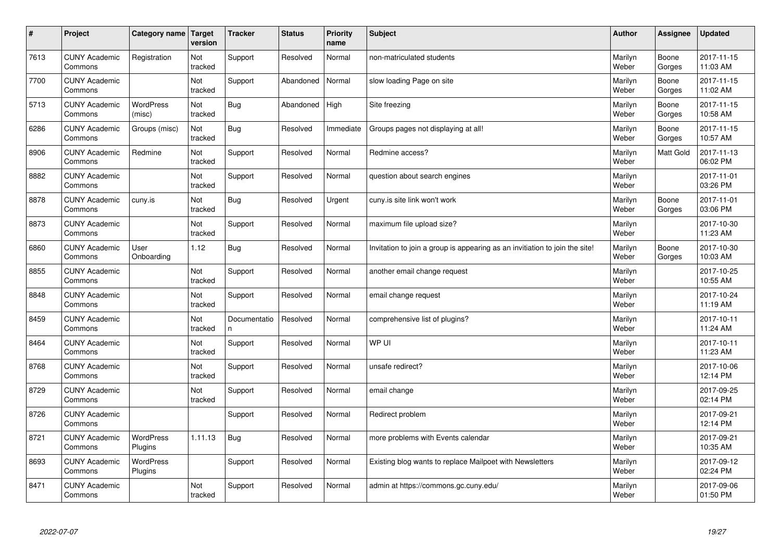| $\sharp$ | Project                         | Category name   Target     | version        | <b>Tracker</b>     | <b>Status</b> | <b>Priority</b><br>name | <b>Subject</b>                                                              | <b>Author</b>    | Assignee         | <b>Updated</b>         |
|----------|---------------------------------|----------------------------|----------------|--------------------|---------------|-------------------------|-----------------------------------------------------------------------------|------------------|------------------|------------------------|
| 7613     | <b>CUNY Academic</b><br>Commons | Registration               | Not<br>tracked | Support            | Resolved      | Normal                  | non-matriculated students                                                   | Marilyn<br>Weber | Boone<br>Gorges  | 2017-11-15<br>11:03 AM |
| 7700     | <b>CUNY Academic</b><br>Commons |                            | Not<br>tracked | Support            | Abandoned     | Normal                  | slow loading Page on site                                                   | Marilyn<br>Weber | Boone<br>Gorges  | 2017-11-15<br>11:02 AM |
| 5713     | <b>CUNY Academic</b><br>Commons | <b>WordPress</b><br>(misc) | Not<br>tracked | Bug                | Abandoned     | High                    | Site freezing                                                               | Marilyn<br>Weber | Boone<br>Gorges  | 2017-11-15<br>10:58 AM |
| 6286     | <b>CUNY Academic</b><br>Commons | Groups (misc)              | Not<br>tracked | Bug                | Resolved      | Immediate               | Groups pages not displaying at all!                                         | Marilyn<br>Weber | Boone<br>Gorges  | 2017-11-15<br>10:57 AM |
| 8906     | <b>CUNY Academic</b><br>Commons | Redmine                    | Not<br>tracked | Support            | Resolved      | Normal                  | Redmine access?                                                             | Marilyn<br>Weber | <b>Matt Gold</b> | 2017-11-13<br>06:02 PM |
| 8882     | <b>CUNY Academic</b><br>Commons |                            | Not<br>tracked | Support            | Resolved      | Normal                  | question about search engines                                               | Marilyn<br>Weber |                  | 2017-11-01<br>03:26 PM |
| 8878     | <b>CUNY Academic</b><br>Commons | cuny.is                    | Not<br>tracked | Bug                | Resolved      | Urgent                  | cuny.is site link won't work                                                | Marilyn<br>Weber | Boone<br>Gorges  | 2017-11-01<br>03:06 PM |
| 8873     | <b>CUNY Academic</b><br>Commons |                            | Not<br>tracked | Support            | Resolved      | Normal                  | maximum file upload size?                                                   | Marilyn<br>Weber |                  | 2017-10-30<br>11:23 AM |
| 6860     | <b>CUNY Academic</b><br>Commons | User<br>Onboarding         | 1.12           | Bug                | Resolved      | Normal                  | Invitation to join a group is appearing as an invitiation to join the site! | Marilyn<br>Weber | Boone<br>Gorges  | 2017-10-30<br>10:03 AM |
| 8855     | <b>CUNY Academic</b><br>Commons |                            | Not<br>tracked | Support            | Resolved      | Normal                  | another email change request                                                | Marilyn<br>Weber |                  | 2017-10-25<br>10:55 AM |
| 8848     | <b>CUNY Academic</b><br>Commons |                            | Not<br>tracked | Support            | Resolved      | Normal                  | email change request                                                        | Marilyn<br>Weber |                  | 2017-10-24<br>11:19 AM |
| 8459     | <b>CUNY Academic</b><br>Commons |                            | Not<br>tracked | Documentatio<br>n. | Resolved      | Normal                  | comprehensive list of plugins?                                              | Marilyn<br>Weber |                  | 2017-10-11<br>11:24 AM |
| 8464     | <b>CUNY Academic</b><br>Commons |                            | Not<br>tracked | Support            | Resolved      | Normal                  | WP UI                                                                       | Marilyn<br>Weber |                  | 2017-10-11<br>11:23 AM |
| 8768     | <b>CUNY Academic</b><br>Commons |                            | Not<br>tracked | Support            | Resolved      | Normal                  | unsafe redirect?                                                            | Marilyn<br>Weber |                  | 2017-10-06<br>12:14 PM |
| 8729     | <b>CUNY Academic</b><br>Commons |                            | Not<br>tracked | Support            | Resolved      | Normal                  | email change                                                                | Marilyn<br>Weber |                  | 2017-09-25<br>02:14 PM |
| 8726     | <b>CUNY Academic</b><br>Commons |                            |                | Support            | Resolved      | Normal                  | Redirect problem                                                            | Marilyn<br>Weber |                  | 2017-09-21<br>12:14 PM |
| 8721     | <b>CUNY Academic</b><br>Commons | WordPress<br>Plugins       | 1.11.13        | Bug                | Resolved      | Normal                  | more problems with Events calendar                                          | Marilyn<br>Weber |                  | 2017-09-21<br>10:35 AM |
| 8693     | <b>CUNY Academic</b><br>Commons | WordPress<br>Plugins       |                | Support            | Resolved      | Normal                  | Existing blog wants to replace Mailpoet with Newsletters                    | Marilyn<br>Weber |                  | 2017-09-12<br>02:24 PM |
| 8471     | <b>CUNY Academic</b><br>Commons |                            | Not<br>tracked | Support            | Resolved      | Normal                  | admin at https://commons.gc.cuny.edu/                                       | Marilyn<br>Weber |                  | 2017-09-06<br>01:50 PM |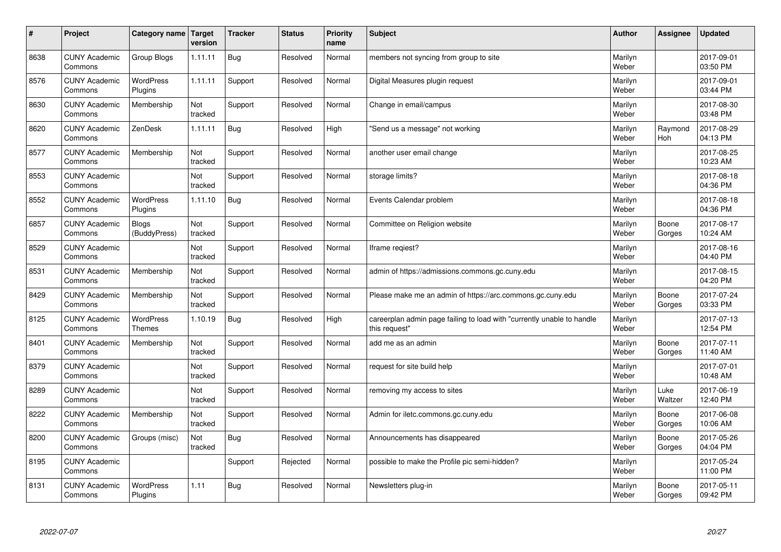| $\vert$ # | Project                         | Category name                     | Target<br>version | <b>Tracker</b> | <b>Status</b> | <b>Priority</b><br>name | <b>Subject</b>                                                                          | <b>Author</b>    | Assignee        | <b>Updated</b>         |
|-----------|---------------------------------|-----------------------------------|-------------------|----------------|---------------|-------------------------|-----------------------------------------------------------------------------------------|------------------|-----------------|------------------------|
| 8638      | <b>CUNY Academic</b><br>Commons | Group Blogs                       | 1.11.11           | <b>Bug</b>     | Resolved      | Normal                  | members not syncing from group to site                                                  | Marilyn<br>Weber |                 | 2017-09-01<br>03:50 PM |
| 8576      | <b>CUNY Academic</b><br>Commons | <b>WordPress</b><br>Plugins       | 1.11.11           | Support        | Resolved      | Normal                  | Digital Measures plugin request                                                         | Marilyn<br>Weber |                 | 2017-09-01<br>03:44 PM |
| 8630      | <b>CUNY Academic</b><br>Commons | Membership                        | Not<br>tracked    | Support        | Resolved      | Normal                  | Change in email/campus                                                                  | Marilyn<br>Weber |                 | 2017-08-30<br>03:48 PM |
| 8620      | <b>CUNY Academic</b><br>Commons | ZenDesk                           | 1.11.11           | Bug            | Resolved      | High                    | 'Send us a message" not working                                                         | Marilyn<br>Weber | Raymond<br>Hoh  | 2017-08-29<br>04:13 PM |
| 8577      | <b>CUNY Academic</b><br>Commons | Membership                        | Not<br>tracked    | Support        | Resolved      | Normal                  | another user email change                                                               | Marilyn<br>Weber |                 | 2017-08-25<br>10:23 AM |
| 8553      | <b>CUNY Academic</b><br>Commons |                                   | Not<br>tracked    | Support        | Resolved      | Normal                  | storage limits?                                                                         | Marilyn<br>Weber |                 | 2017-08-18<br>04:36 PM |
| 8552      | <b>CUNY Academic</b><br>Commons | <b>WordPress</b><br>Plugins       | 1.11.10           | <b>Bug</b>     | Resolved      | Normal                  | Events Calendar problem                                                                 | Marilyn<br>Weber |                 | 2017-08-18<br>04:36 PM |
| 6857      | <b>CUNY Academic</b><br>Commons | <b>Blogs</b><br>(BuddyPress)      | Not<br>tracked    | Support        | Resolved      | Normal                  | Committee on Religion website                                                           | Marilyn<br>Weber | Boone<br>Gorges | 2017-08-17<br>10:24 AM |
| 8529      | <b>CUNY Academic</b><br>Commons |                                   | Not<br>tracked    | Support        | Resolved      | Normal                  | Iframe regiest?                                                                         | Marilyn<br>Weber |                 | 2017-08-16<br>04:40 PM |
| 8531      | <b>CUNY Academic</b><br>Commons | Membership                        | Not<br>tracked    | Support        | Resolved      | Normal                  | admin of https://admissions.commons.gc.cuny.edu                                         | Marilyn<br>Weber |                 | 2017-08-15<br>04:20 PM |
| 8429      | <b>CUNY Academic</b><br>Commons | Membership                        | Not<br>tracked    | Support        | Resolved      | Normal                  | Please make me an admin of https://arc.commons.gc.cuny.edu                              | Marilyn<br>Weber | Boone<br>Gorges | 2017-07-24<br>03:33 PM |
| 8125      | <b>CUNY Academic</b><br>Commons | <b>WordPress</b><br><b>Themes</b> | 1.10.19           | Bug            | Resolved      | High                    | careerplan admin page failing to load with "currently unable to handle<br>this request" | Marilyn<br>Weber |                 | 2017-07-13<br>12:54 PM |
| 8401      | <b>CUNY Academic</b><br>Commons | Membership                        | Not<br>tracked    | Support        | Resolved      | Normal                  | add me as an admin                                                                      | Marilyn<br>Weber | Boone<br>Gorges | 2017-07-11<br>11:40 AM |
| 8379      | <b>CUNY Academic</b><br>Commons |                                   | Not<br>tracked    | Support        | Resolved      | Normal                  | request for site build help                                                             | Marilyn<br>Weber |                 | 2017-07-01<br>10:48 AM |
| 8289      | <b>CUNY Academic</b><br>Commons |                                   | Not<br>tracked    | Support        | Resolved      | Normal                  | removing my access to sites                                                             | Marilyn<br>Weber | Luke<br>Waltzer | 2017-06-19<br>12:40 PM |
| 8222      | <b>CUNY Academic</b><br>Commons | Membership                        | Not<br>tracked    | Support        | Resolved      | Normal                  | Admin for iletc.commons.gc.cuny.edu                                                     | Marilyn<br>Weber | Boone<br>Gorges | 2017-06-08<br>10:06 AM |
| 8200      | <b>CUNY Academic</b><br>Commons | Groups (misc)                     | Not<br>tracked    | <b>Bug</b>     | Resolved      | Normal                  | Announcements has disappeared                                                           | Marilyn<br>Weber | Boone<br>Gorges | 2017-05-26<br>04:04 PM |
| 8195      | <b>CUNY Academic</b><br>Commons |                                   |                   | Support        | Rejected      | Normal                  | possible to make the Profile pic semi-hidden?                                           | Marilyn<br>Weber |                 | 2017-05-24<br>11:00 PM |
| 8131      | <b>CUNY Academic</b><br>Commons | <b>WordPress</b><br>Plugins       | 1.11              | Bug            | Resolved      | Normal                  | Newsletters plug-in                                                                     | Marilyn<br>Weber | Boone<br>Gorges | 2017-05-11<br>09:42 PM |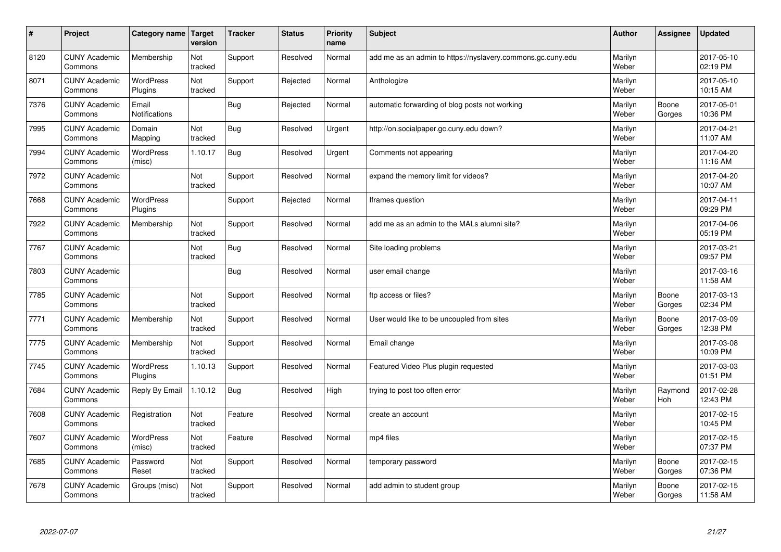| $\sharp$ | Project                         | Category name   Target      | version        | <b>Tracker</b> | <b>Status</b> | <b>Priority</b><br>name | <b>Subject</b>                                              | <b>Author</b>    | Assignee        | <b>Updated</b>         |
|----------|---------------------------------|-----------------------------|----------------|----------------|---------------|-------------------------|-------------------------------------------------------------|------------------|-----------------|------------------------|
| 8120     | <b>CUNY Academic</b><br>Commons | Membership                  | Not<br>tracked | Support        | Resolved      | Normal                  | add me as an admin to https://nyslavery.commons.gc.cuny.edu | Marilyn<br>Weber |                 | 2017-05-10<br>02:19 PM |
| 8071     | <b>CUNY Academic</b><br>Commons | <b>WordPress</b><br>Plugins | Not<br>tracked | Support        | Rejected      | Normal                  | Anthologize                                                 | Marilyn<br>Weber |                 | 2017-05-10<br>10:15 AM |
| 7376     | <b>CUNY Academic</b><br>Commons | Email<br>Notifications      |                | Bug            | Rejected      | Normal                  | automatic forwarding of blog posts not working              | Marilyn<br>Weber | Boone<br>Gorges | 2017-05-01<br>10:36 PM |
| 7995     | <b>CUNY Academic</b><br>Commons | Domain<br>Mapping           | Not<br>tracked | Bug            | Resolved      | Urgent                  | http://on.socialpaper.gc.cuny.edu down?                     | Marilyn<br>Weber |                 | 2017-04-21<br>11:07 AM |
| 7994     | <b>CUNY Academic</b><br>Commons | <b>WordPress</b><br>(misc)  | 1.10.17        | Bug            | Resolved      | Urgent                  | Comments not appearing                                      | Marilyn<br>Weber |                 | 2017-04-20<br>11:16 AM |
| 7972     | <b>CUNY Academic</b><br>Commons |                             | Not<br>tracked | Support        | Resolved      | Normal                  | expand the memory limit for videos?                         | Marilyn<br>Weber |                 | 2017-04-20<br>10:07 AM |
| 7668     | <b>CUNY Academic</b><br>Commons | <b>WordPress</b><br>Plugins |                | Support        | Rejected      | Normal                  | Iframes question                                            | Marilyn<br>Weber |                 | 2017-04-11<br>09:29 PM |
| 7922     | <b>CUNY Academic</b><br>Commons | Membership                  | Not<br>tracked | Support        | Resolved      | Normal                  | add me as an admin to the MALs alumni site?                 | Marilyn<br>Weber |                 | 2017-04-06<br>05:19 PM |
| 7767     | <b>CUNY Academic</b><br>Commons |                             | Not<br>tracked | Bug            | Resolved      | Normal                  | Site loading problems                                       | Marilyn<br>Weber |                 | 2017-03-21<br>09:57 PM |
| 7803     | <b>CUNY Academic</b><br>Commons |                             |                | Bug            | Resolved      | Normal                  | user email change                                           | Marilyn<br>Weber |                 | 2017-03-16<br>11:58 AM |
| 7785     | <b>CUNY Academic</b><br>Commons |                             | Not<br>tracked | Support        | Resolved      | Normal                  | ftp access or files?                                        | Marilyn<br>Weber | Boone<br>Gorges | 2017-03-13<br>02:34 PM |
| 7771     | <b>CUNY Academic</b><br>Commons | Membership                  | Not<br>tracked | Support        | Resolved      | Normal                  | User would like to be uncoupled from sites                  | Marilyn<br>Weber | Boone<br>Gorges | 2017-03-09<br>12:38 PM |
| 7775     | <b>CUNY Academic</b><br>Commons | Membership                  | Not<br>tracked | Support        | Resolved      | Normal                  | Email change                                                | Marilyn<br>Weber |                 | 2017-03-08<br>10:09 PM |
| 7745     | <b>CUNY Academic</b><br>Commons | WordPress<br>Plugins        | 1.10.13        | Support        | Resolved      | Normal                  | Featured Video Plus plugin requested                        | Marilyn<br>Weber |                 | 2017-03-03<br>01:51 PM |
| 7684     | <b>CUNY Academic</b><br>Commons | Reply By Email              | 1.10.12        | Bug            | Resolved      | High                    | trying to post too often error                              | Marilyn<br>Weber | Raymond<br>Hoh  | 2017-02-28<br>12:43 PM |
| 7608     | <b>CUNY Academic</b><br>Commons | Registration                | Not<br>tracked | Feature        | Resolved      | Normal                  | create an account                                           | Marilyn<br>Weber |                 | 2017-02-15<br>10:45 PM |
| 7607     | <b>CUNY Academic</b><br>Commons | WordPress<br>(misc)         | Not<br>tracked | Feature        | Resolved      | Normal                  | mp4 files                                                   | Marilyn<br>Weber |                 | 2017-02-15<br>07:37 PM |
| 7685     | <b>CUNY Academic</b><br>Commons | Password<br>Reset           | Not<br>tracked | Support        | Resolved      | Normal                  | temporary password                                          | Marilyn<br>Weber | Boone<br>Gorges | 2017-02-15<br>07:36 PM |
| 7678     | <b>CUNY Academic</b><br>Commons | Groups (misc)               | Not<br>tracked | Support        | Resolved      | Normal                  | add admin to student group                                  | Marilyn<br>Weber | Boone<br>Gorges | 2017-02-15<br>11:58 AM |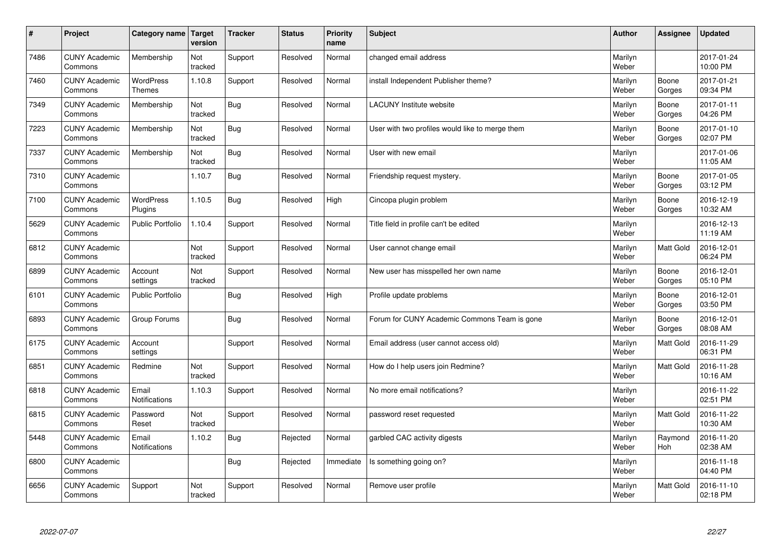| $\sharp$ | Project                         | Category name               | Target<br>version | <b>Tracker</b> | <b>Status</b> | <b>Priority</b><br>name | <b>Subject</b>                                  | <b>Author</b>    | <b>Assignee</b>  | <b>Updated</b>         |
|----------|---------------------------------|-----------------------------|-------------------|----------------|---------------|-------------------------|-------------------------------------------------|------------------|------------------|------------------------|
| 7486     | <b>CUNY Academic</b><br>Commons | Membership                  | Not<br>tracked    | Support        | Resolved      | Normal                  | changed email address                           | Marilyn<br>Weber |                  | 2017-01-24<br>10:00 PM |
| 7460     | <b>CUNY Academic</b><br>Commons | <b>WordPress</b><br>Themes  | 1.10.8            | Support        | Resolved      | Normal                  | install Independent Publisher theme?            | Marilyn<br>Weber | Boone<br>Gorges  | 2017-01-21<br>09:34 PM |
| 7349     | <b>CUNY Academic</b><br>Commons | Membership                  | Not<br>tracked    | <b>Bug</b>     | Resolved      | Normal                  | <b>LACUNY</b> Institute website                 | Marilyn<br>Weber | Boone<br>Gorges  | 2017-01-11<br>04:26 PM |
| 7223     | <b>CUNY Academic</b><br>Commons | Membership                  | Not<br>tracked    | <b>Bug</b>     | Resolved      | Normal                  | User with two profiles would like to merge them | Marilyn<br>Weber | Boone<br>Gorges  | 2017-01-10<br>02:07 PM |
| 7337     | <b>CUNY Academic</b><br>Commons | Membership                  | Not<br>tracked    | <b>Bug</b>     | Resolved      | Normal                  | User with new email                             | Marilyn<br>Weber |                  | 2017-01-06<br>11:05 AM |
| 7310     | <b>CUNY Academic</b><br>Commons |                             | 1.10.7            | <b>Bug</b>     | Resolved      | Normal                  | Friendship request mystery.                     | Marilyn<br>Weber | Boone<br>Gorges  | 2017-01-05<br>03:12 PM |
| 7100     | <b>CUNY Academic</b><br>Commons | <b>WordPress</b><br>Plugins | 1.10.5            | <b>Bug</b>     | Resolved      | High                    | Cincopa plugin problem                          | Marilyn<br>Weber | Boone<br>Gorges  | 2016-12-19<br>10:32 AM |
| 5629     | <b>CUNY Academic</b><br>Commons | <b>Public Portfolio</b>     | 1.10.4            | Support        | Resolved      | Normal                  | Title field in profile can't be edited          | Marilyn<br>Weber |                  | 2016-12-13<br>11:19 AM |
| 6812     | <b>CUNY Academic</b><br>Commons |                             | Not<br>tracked    | Support        | Resolved      | Normal                  | User cannot change email                        | Marilyn<br>Weber | <b>Matt Gold</b> | 2016-12-01<br>06:24 PM |
| 6899     | <b>CUNY Academic</b><br>Commons | Account<br>settings         | Not<br>tracked    | Support        | Resolved      | Normal                  | New user has misspelled her own name            | Marilyn<br>Weber | Boone<br>Gorges  | 2016-12-01<br>05:10 PM |
| 6101     | <b>CUNY Academic</b><br>Commons | <b>Public Portfolio</b>     |                   | Bug            | Resolved      | High                    | Profile update problems                         | Marilyn<br>Weber | Boone<br>Gorges  | 2016-12-01<br>03:50 PM |
| 6893     | <b>CUNY Academic</b><br>Commons | Group Forums                |                   | <b>Bug</b>     | Resolved      | Normal                  | Forum for CUNY Academic Commons Team is gone    | Marilyn<br>Weber | Boone<br>Gorges  | 2016-12-01<br>08:08 AM |
| 6175     | <b>CUNY Academic</b><br>Commons | Account<br>settings         |                   | Support        | Resolved      | Normal                  | Email address (user cannot access old)          | Marilyn<br>Weber | Matt Gold        | 2016-11-29<br>06:31 PM |
| 6851     | <b>CUNY Academic</b><br>Commons | Redmine                     | Not<br>tracked    | Support        | Resolved      | Normal                  | How do I help users join Redmine?               | Marilyn<br>Weber | Matt Gold        | 2016-11-28<br>10:16 AM |
| 6818     | <b>CUNY Academic</b><br>Commons | Email<br>Notifications      | 1.10.3            | Support        | Resolved      | Normal                  | No more email notifications?                    | Marilyn<br>Weber |                  | 2016-11-22<br>02:51 PM |
| 6815     | <b>CUNY Academic</b><br>Commons | Password<br>Reset           | Not<br>tracked    | Support        | Resolved      | Normal                  | password reset requested                        | Marilyn<br>Weber | Matt Gold        | 2016-11-22<br>10:30 AM |
| 5448     | <b>CUNY Academic</b><br>Commons | Email<br>Notifications      | 1.10.2            | <b>Bug</b>     | Rejected      | Normal                  | garbled CAC activity digests                    | Marilyn<br>Weber | Raymond<br>Hoh   | 2016-11-20<br>02:38 AM |
| 6800     | <b>CUNY Academic</b><br>Commons |                             |                   | <b>Bug</b>     | Rejected      | Immediate               | Is something going on?                          | Marilyn<br>Weber |                  | 2016-11-18<br>04:40 PM |
| 6656     | <b>CUNY Academic</b><br>Commons | Support                     | Not<br>tracked    | Support        | Resolved      | Normal                  | Remove user profile                             | Marilyn<br>Weber | Matt Gold        | 2016-11-10<br>02:18 PM |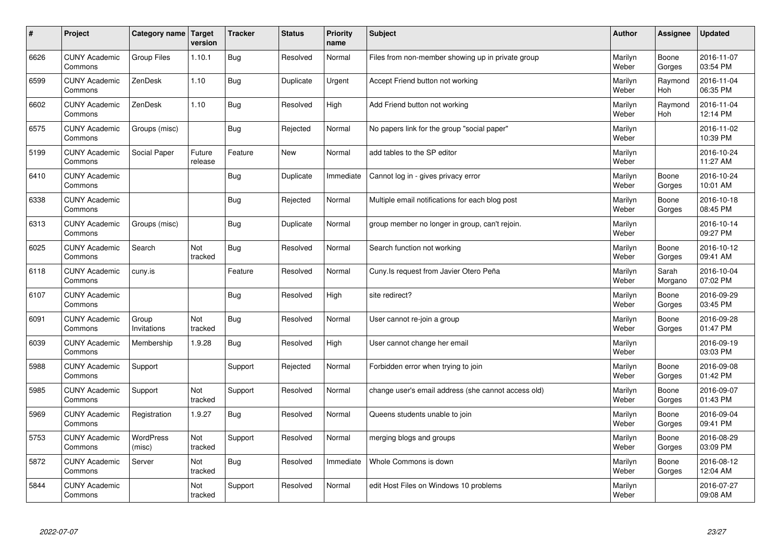| $\sharp$ | Project                         | Category name   Target     | version           | <b>Tracker</b> | <b>Status</b> | <b>Priority</b><br>name | <b>Subject</b>                                      | <b>Author</b>    | Assignee              | <b>Updated</b>         |
|----------|---------------------------------|----------------------------|-------------------|----------------|---------------|-------------------------|-----------------------------------------------------|------------------|-----------------------|------------------------|
| 6626     | <b>CUNY Academic</b><br>Commons | Group Files                | 1.10.1            | Bug            | Resolved      | Normal                  | Files from non-member showing up in private group   | Marilyn<br>Weber | Boone<br>Gorges       | 2016-11-07<br>03:54 PM |
| 6599     | <b>CUNY Academic</b><br>Commons | ZenDesk                    | 1.10              | Bug            | Duplicate     | Urgent                  | Accept Friend button not working                    | Marilyn<br>Weber | Raymond<br><b>Hoh</b> | 2016-11-04<br>06:35 PM |
| 6602     | <b>CUNY Academic</b><br>Commons | ZenDesk                    | 1.10              | Bug            | Resolved      | High                    | Add Friend button not working                       | Marilyn<br>Weber | Raymond<br><b>Hoh</b> | 2016-11-04<br>12:14 PM |
| 6575     | <b>CUNY Academic</b><br>Commons | Groups (misc)              |                   | Bug            | Rejected      | Normal                  | No papers link for the group "social paper"         | Marilyn<br>Weber |                       | 2016-11-02<br>10:39 PM |
| 5199     | <b>CUNY Academic</b><br>Commons | Social Paper               | Future<br>release | Feature        | <b>New</b>    | Normal                  | add tables to the SP editor                         | Marilyn<br>Weber |                       | 2016-10-24<br>11:27 AM |
| 6410     | <b>CUNY Academic</b><br>Commons |                            |                   | Bug            | Duplicate     | Immediate               | Cannot log in - gives privacy error                 | Marilyn<br>Weber | Boone<br>Gorges       | 2016-10-24<br>10:01 AM |
| 6338     | <b>CUNY Academic</b><br>Commons |                            |                   | <b>Bug</b>     | Rejected      | Normal                  | Multiple email notifications for each blog post     | Marilyn<br>Weber | Boone<br>Gorges       | 2016-10-18<br>08:45 PM |
| 6313     | <b>CUNY Academic</b><br>Commons | Groups (misc)              |                   | Bug            | Duplicate     | Normal                  | group member no longer in group, can't rejoin.      | Marilyn<br>Weber |                       | 2016-10-14<br>09:27 PM |
| 6025     | <b>CUNY Academic</b><br>Commons | Search                     | Not<br>tracked    | Bug            | Resolved      | Normal                  | Search function not working                         | Marilyn<br>Weber | Boone<br>Gorges       | 2016-10-12<br>09:41 AM |
| 6118     | <b>CUNY Academic</b><br>Commons | cuny.is                    |                   | Feature        | Resolved      | Normal                  | Cuny. Is request from Javier Otero Peña             | Marilyn<br>Weber | Sarah<br>Morgano      | 2016-10-04<br>07:02 PM |
| 6107     | <b>CUNY Academic</b><br>Commons |                            |                   | <b>Bug</b>     | Resolved      | High                    | site redirect?                                      | Marilyn<br>Weber | Boone<br>Gorges       | 2016-09-29<br>03:45 PM |
| 6091     | <b>CUNY Academic</b><br>Commons | Group<br>Invitations       | Not<br>tracked    | <b>Bug</b>     | Resolved      | Normal                  | User cannot re-join a group                         | Marilyn<br>Weber | Boone<br>Gorges       | 2016-09-28<br>01:47 PM |
| 6039     | <b>CUNY Academic</b><br>Commons | Membership                 | 1.9.28            | Bug            | Resolved      | High                    | User cannot change her email                        | Marilyn<br>Weber |                       | 2016-09-19<br>03:03 PM |
| 5988     | <b>CUNY Academic</b><br>Commons | Support                    |                   | Support        | Rejected      | Normal                  | Forbidden error when trying to join                 | Marilyn<br>Weber | Boone<br>Gorges       | 2016-09-08<br>01:42 PM |
| 5985     | <b>CUNY Academic</b><br>Commons | Support                    | Not<br>tracked    | Support        | Resolved      | Normal                  | change user's email address (she cannot access old) | Marilyn<br>Weber | Boone<br>Gorges       | 2016-09-07<br>01:43 PM |
| 5969     | <b>CUNY Academic</b><br>Commons | Registration               | 1.9.27            | <b>Bug</b>     | Resolved      | Normal                  | Queens students unable to join                      | Marilyn<br>Weber | Boone<br>Gorges       | 2016-09-04<br>09:41 PM |
| 5753     | <b>CUNY Academic</b><br>Commons | <b>WordPress</b><br>(misc) | Not<br>tracked    | Support        | Resolved      | Normal                  | merging blogs and groups                            | Marilyn<br>Weber | Boone<br>Gorges       | 2016-08-29<br>03:09 PM |
| 5872     | <b>CUNY Academic</b><br>Commons | Server                     | Not<br>tracked    | Bug            | Resolved      | Immediate               | Whole Commons is down                               | Marilyn<br>Weber | Boone<br>Gorges       | 2016-08-12<br>12:04 AM |
| 5844     | <b>CUNY Academic</b><br>Commons |                            | Not<br>tracked    | Support        | Resolved      | Normal                  | edit Host Files on Windows 10 problems              | Marilyn<br>Weber |                       | 2016-07-27<br>09:08 AM |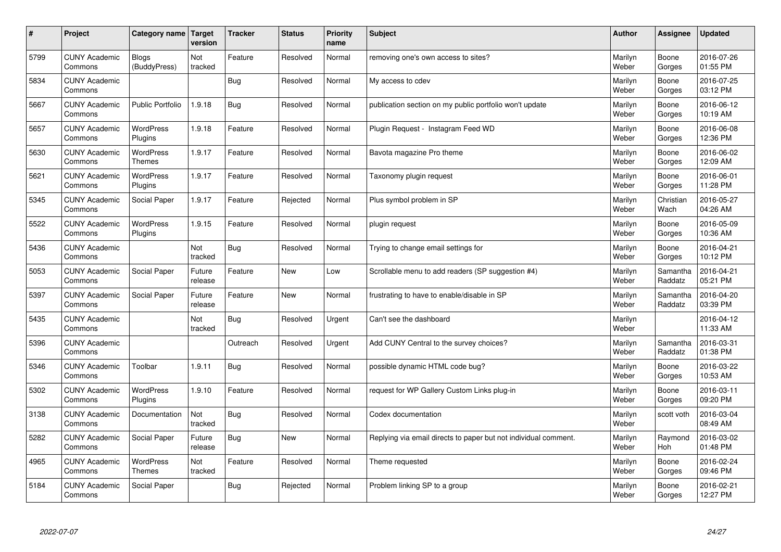| $\sharp$ | Project                         | Category name   Target            | version           | <b>Tracker</b> | <b>Status</b> | <b>Priority</b><br>name | <b>Subject</b>                                                  | <b>Author</b>    | Assignee              | <b>Updated</b>         |
|----------|---------------------------------|-----------------------------------|-------------------|----------------|---------------|-------------------------|-----------------------------------------------------------------|------------------|-----------------------|------------------------|
| 5799     | <b>CUNY Academic</b><br>Commons | <b>Blogs</b><br>(BuddyPress)      | Not<br>tracked    | Feature        | Resolved      | Normal                  | removing one's own access to sites?                             | Marilyn<br>Weber | Boone<br>Gorges       | 2016-07-26<br>01:55 PM |
| 5834     | <b>CUNY Academic</b><br>Commons |                                   |                   | Bug            | Resolved      | Normal                  | My access to cdev                                               | Marilyn<br>Weber | Boone<br>Gorges       | 2016-07-25<br>03:12 PM |
| 5667     | <b>CUNY Academic</b><br>Commons | <b>Public Portfolio</b>           | 1.9.18            | <b>Bug</b>     | Resolved      | Normal                  | publication section on my public portfolio won't update         | Marilyn<br>Weber | Boone<br>Gorges       | 2016-06-12<br>10:19 AM |
| 5657     | <b>CUNY Academic</b><br>Commons | <b>WordPress</b><br>Plugins       | 1.9.18            | Feature        | Resolved      | Normal                  | Plugin Request - Instagram Feed WD                              | Marilyn<br>Weber | Boone<br>Gorges       | 2016-06-08<br>12:36 PM |
| 5630     | <b>CUNY Academic</b><br>Commons | <b>WordPress</b><br><b>Themes</b> | 1.9.17            | Feature        | Resolved      | Normal                  | Bavota magazine Pro theme                                       | Marilyn<br>Weber | Boone<br>Gorges       | 2016-06-02<br>12:09 AM |
| 5621     | <b>CUNY Academic</b><br>Commons | WordPress<br>Plugins              | 1.9.17            | Feature        | Resolved      | Normal                  | Taxonomy plugin request                                         | Marilyn<br>Weber | Boone<br>Gorges       | 2016-06-01<br>11:28 PM |
| 5345     | <b>CUNY Academic</b><br>Commons | Social Paper                      | 1.9.17            | Feature        | Rejected      | Normal                  | Plus symbol problem in SP                                       | Marilyn<br>Weber | Christian<br>Wach     | 2016-05-27<br>04:26 AM |
| 5522     | <b>CUNY Academic</b><br>Commons | WordPress<br>Plugins              | 1.9.15            | Feature        | Resolved      | Normal                  | plugin request                                                  | Marilyn<br>Weber | Boone<br>Gorges       | 2016-05-09<br>10:36 AM |
| 5436     | <b>CUNY Academic</b><br>Commons |                                   | Not<br>tracked    | Bug            | Resolved      | Normal                  | Trying to change email settings for                             | Marilyn<br>Weber | Boone<br>Gorges       | 2016-04-21<br>10:12 PM |
| 5053     | <b>CUNY Academic</b><br>Commons | Social Paper                      | Future<br>release | Feature        | <b>New</b>    | Low                     | Scrollable menu to add readers (SP suggestion #4)               | Marilyn<br>Weber | Samantha<br>Raddatz   | 2016-04-21<br>05:21 PM |
| 5397     | <b>CUNY Academic</b><br>Commons | Social Paper                      | Future<br>release | Feature        | New           | Normal                  | frustrating to have to enable/disable in SP                     | Marilyn<br>Weber | Samantha<br>Raddatz   | 2016-04-20<br>03:39 PM |
| 5435     | <b>CUNY Academic</b><br>Commons |                                   | Not<br>tracked    | <b>Bug</b>     | Resolved      | Urgent                  | Can't see the dashboard                                         | Marilyn<br>Weber |                       | 2016-04-12<br>11:33 AM |
| 5396     | <b>CUNY Academic</b><br>Commons |                                   |                   | Outreach       | Resolved      | Urgent                  | Add CUNY Central to the survey choices?                         | Marilyn<br>Weber | Samantha<br>Raddatz   | 2016-03-31<br>01:38 PM |
| 5346     | <b>CUNY Academic</b><br>Commons | Toolbar                           | 1.9.11            | Bug            | Resolved      | Normal                  | possible dynamic HTML code bug?                                 | Marilyn<br>Weber | Boone<br>Gorges       | 2016-03-22<br>10:53 AM |
| 5302     | <b>CUNY Academic</b><br>Commons | <b>WordPress</b><br>Plugins       | 1.9.10            | Feature        | Resolved      | Normal                  | request for WP Gallery Custom Links plug-in                     | Marilyn<br>Weber | Boone<br>Gorges       | 2016-03-11<br>09:20 PM |
| 3138     | <b>CUNY Academic</b><br>Commons | Documentation                     | Not<br>tracked    | Bug            | Resolved      | Normal                  | Codex documentation                                             | Marilyn<br>Weber | scott voth            | 2016-03-04<br>08:49 AM |
| 5282     | <b>CUNY Academic</b><br>Commons | Social Paper                      | Future<br>release | Bug            | New           | Normal                  | Replying via email directs to paper but not individual comment. | Marilyn<br>Weber | Raymond<br><b>Hoh</b> | 2016-03-02<br>01:48 PM |
| 4965     | <b>CUNY Academic</b><br>Commons | WordPress<br><b>Themes</b>        | Not<br>tracked    | Feature        | Resolved      | Normal                  | Theme requested                                                 | Marilyn<br>Weber | Boone<br>Gorges       | 2016-02-24<br>09:46 PM |
| 5184     | <b>CUNY Academic</b><br>Commons | Social Paper                      |                   | Bug            | Rejected      | Normal                  | Problem linking SP to a group                                   | Marilyn<br>Weber | Boone<br>Gorges       | 2016-02-21<br>12:27 PM |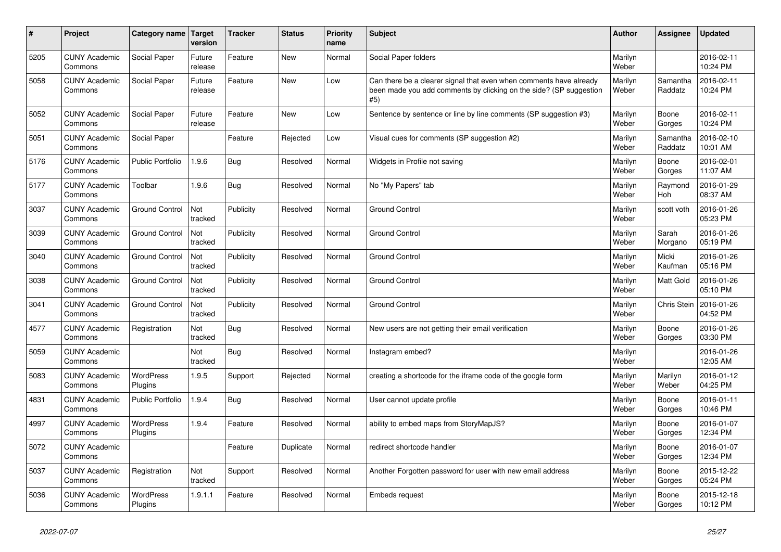| $\vert$ # | <b>Project</b>                  | Category name               | Target<br>version | <b>Tracker</b> | <b>Status</b> | <b>Priority</b><br>name | <b>Subject</b>                                                                                                                                  | <b>Author</b>    | <b>Assignee</b>     | <b>Updated</b>         |
|-----------|---------------------------------|-----------------------------|-------------------|----------------|---------------|-------------------------|-------------------------------------------------------------------------------------------------------------------------------------------------|------------------|---------------------|------------------------|
| 5205      | <b>CUNY Academic</b><br>Commons | Social Paper                | Future<br>release | Feature        | <b>New</b>    | Normal                  | Social Paper folders                                                                                                                            | Marilyn<br>Weber |                     | 2016-02-11<br>10:24 PM |
| 5058      | <b>CUNY Academic</b><br>Commons | Social Paper                | Future<br>release | Feature        | <b>New</b>    | Low                     | Can there be a clearer signal that even when comments have already<br>been made you add comments by clicking on the side? (SP suggestion<br>#5) | Marilyn<br>Weber | Samantha<br>Raddatz | 2016-02-11<br>10:24 PM |
| 5052      | <b>CUNY Academic</b><br>Commons | Social Paper                | Future<br>release | Feature        | <b>New</b>    | Low                     | Sentence by sentence or line by line comments (SP suggestion #3)                                                                                | Marilyn<br>Weber | Boone<br>Gorges     | 2016-02-11<br>10:24 PM |
| 5051      | <b>CUNY Academic</b><br>Commons | Social Paper                |                   | Feature        | Rejected      | Low                     | Visual cues for comments (SP suggestion #2)                                                                                                     | Marilyn<br>Weber | Samantha<br>Raddatz | 2016-02-10<br>10:01 AM |
| 5176      | <b>CUNY Academic</b><br>Commons | <b>Public Portfolio</b>     | 1.9.6             | <b>Bug</b>     | Resolved      | Normal                  | Widgets in Profile not saving                                                                                                                   | Marilyn<br>Weber | Boone<br>Gorges     | 2016-02-01<br>11:07 AM |
| 5177      | <b>CUNY Academic</b><br>Commons | Toolbar                     | 1.9.6             | Bug            | Resolved      | Normal                  | No "My Papers" tab                                                                                                                              | Marilyn<br>Weber | Raymond<br>Hoh      | 2016-01-29<br>08:37 AM |
| 3037      | <b>CUNY Academic</b><br>Commons | <b>Ground Control</b>       | Not<br>tracked    | Publicity      | Resolved      | Normal                  | <b>Ground Control</b>                                                                                                                           | Marilyn<br>Weber | scott voth          | 2016-01-26<br>05:23 PM |
| 3039      | <b>CUNY Academic</b><br>Commons | <b>Ground Control</b>       | Not<br>tracked    | Publicity      | Resolved      | Normal                  | <b>Ground Control</b>                                                                                                                           | Marilyn<br>Weber | Sarah<br>Morgano    | 2016-01-26<br>05:19 PM |
| 3040      | <b>CUNY Academic</b><br>Commons | <b>Ground Control</b>       | Not<br>tracked    | Publicity      | Resolved      | Normal                  | <b>Ground Control</b>                                                                                                                           | Marilyn<br>Weber | Micki<br>Kaufman    | 2016-01-26<br>05:16 PM |
| 3038      | <b>CUNY Academic</b><br>Commons | <b>Ground Control</b>       | Not<br>tracked    | Publicity      | Resolved      | Normal                  | <b>Ground Control</b>                                                                                                                           | Marilyn<br>Weber | Matt Gold           | 2016-01-26<br>05:10 PM |
| 3041      | <b>CUNY Academic</b><br>Commons | <b>Ground Control</b>       | Not<br>tracked    | Publicity      | Resolved      | Normal                  | <b>Ground Control</b>                                                                                                                           | Marilyn<br>Weber | Chris Stein         | 2016-01-26<br>04:52 PM |
| 4577      | <b>CUNY Academic</b><br>Commons | Registration                | Not<br>tracked    | <b>Bug</b>     | Resolved      | Normal                  | New users are not getting their email verification                                                                                              | Marilyn<br>Weber | Boone<br>Gorges     | 2016-01-26<br>03:30 PM |
| 5059      | <b>CUNY Academic</b><br>Commons |                             | Not<br>tracked    | Bug            | Resolved      | Normal                  | Instagram embed?                                                                                                                                | Marilyn<br>Weber |                     | 2016-01-26<br>12:05 AM |
| 5083      | <b>CUNY Academic</b><br>Commons | <b>WordPress</b><br>Plugins | 1.9.5             | Support        | Rejected      | Normal                  | creating a shortcode for the iframe code of the google form                                                                                     | Marilyn<br>Weber | Marilyn<br>Weber    | 2016-01-12<br>04:25 PM |
| 4831      | <b>CUNY Academic</b><br>Commons | <b>Public Portfolio</b>     | 1.9.4             | Bug            | Resolved      | Normal                  | User cannot update profile                                                                                                                      | Marilyn<br>Weber | Boone<br>Gorges     | 2016-01-11<br>10:46 PM |
| 4997      | <b>CUNY Academic</b><br>Commons | <b>WordPress</b><br>Plugins | 1.9.4             | Feature        | Resolved      | Normal                  | ability to embed maps from StoryMapJS?                                                                                                          | Marilyn<br>Weber | Boone<br>Gorges     | 2016-01-07<br>12:34 PM |
| 5072      | <b>CUNY Academic</b><br>Commons |                             |                   | Feature        | Duplicate     | Normal                  | redirect shortcode handler                                                                                                                      | Marilyn<br>Weber | Boone<br>Gorges     | 2016-01-07<br>12:34 PM |
| 5037      | <b>CUNY Academic</b><br>Commons | Registration                | Not<br>tracked    | Support        | Resolved      | Normal                  | Another Forgotten password for user with new email address                                                                                      | Marilyn<br>Weber | Boone<br>Gorges     | 2015-12-22<br>05:24 PM |
| 5036      | <b>CUNY Academic</b><br>Commons | <b>WordPress</b><br>Plugins | 1.9.1.1           | Feature        | Resolved      | Normal                  | Embeds request                                                                                                                                  | Marilyn<br>Weber | Boone<br>Gorges     | 2015-12-18<br>10:12 PM |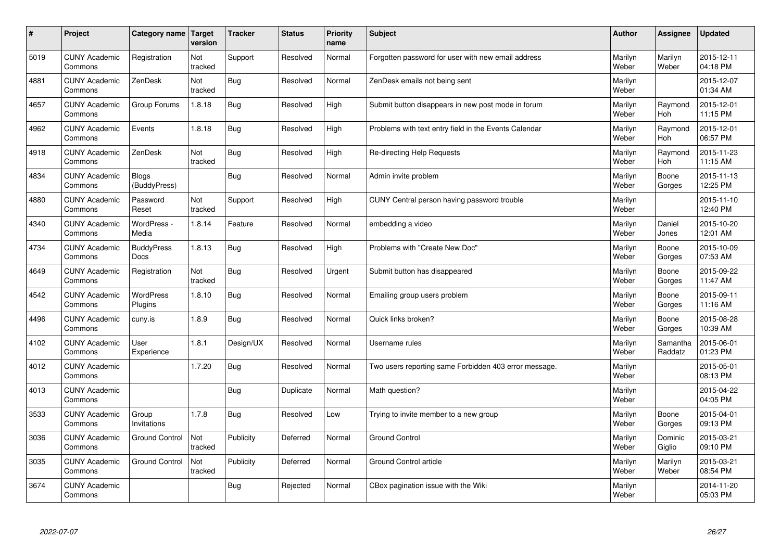| $\vert$ # | Project                         | Category name                    | <b>Target</b><br>version | <b>Tracker</b> | <b>Status</b> | <b>Priority</b><br>name | <b>Subject</b>                                        | <b>Author</b>    | <b>Assignee</b>       | <b>Updated</b>         |
|-----------|---------------------------------|----------------------------------|--------------------------|----------------|---------------|-------------------------|-------------------------------------------------------|------------------|-----------------------|------------------------|
| 5019      | <b>CUNY Academic</b><br>Commons | Registration                     | Not<br>tracked           | Support        | Resolved      | Normal                  | Forgotten password for user with new email address    | Marilyn<br>Weber | Marilyn<br>Weber      | 2015-12-11<br>04:18 PM |
| 4881      | <b>CUNY Academic</b><br>Commons | ZenDesk                          | Not<br>tracked           | <b>Bug</b>     | Resolved      | Normal                  | ZenDesk emails not being sent                         | Marilyn<br>Weber |                       | 2015-12-07<br>01:34 AM |
| 4657      | <b>CUNY Academic</b><br>Commons | Group Forums                     | 1.8.18                   | <b>Bug</b>     | Resolved      | High                    | Submit button disappears in new post mode in forum    | Marilyn<br>Weber | Raymond<br><b>Hoh</b> | 2015-12-01<br>11:15 PM |
| 4962      | <b>CUNY Academic</b><br>Commons | Events                           | 1.8.18                   | Bug            | Resolved      | High                    | Problems with text entry field in the Events Calendar | Marilyn<br>Weber | Raymond<br><b>Hoh</b> | 2015-12-01<br>06:57 PM |
| 4918      | <b>CUNY Academic</b><br>Commons | ZenDesk                          | Not<br>tracked           | Bug            | Resolved      | High                    | Re-directing Help Requests                            | Marilyn<br>Weber | Raymond<br>Hoh        | 2015-11-23<br>11:15 AM |
| 4834      | <b>CUNY Academic</b><br>Commons | <b>Blogs</b><br>(BuddyPress)     |                          | Bug            | Resolved      | Normal                  | Admin invite problem                                  | Marilyn<br>Weber | Boone<br>Gorges       | 2015-11-13<br>12:25 PM |
| 4880      | <b>CUNY Academic</b><br>Commons | Password<br>Reset                | Not<br>tracked           | Support        | Resolved      | High                    | CUNY Central person having password trouble           | Marilyn<br>Weber |                       | 2015-11-10<br>12:40 PM |
| 4340      | <b>CUNY Academic</b><br>Commons | WordPress -<br>Media             | 1.8.14                   | Feature        | Resolved      | Normal                  | embedding a video                                     | Marilyn<br>Weber | Daniel<br>Jones       | 2015-10-20<br>12:01 AM |
| 4734      | <b>CUNY Academic</b><br>Commons | <b>BuddyPress</b><br><b>Docs</b> | 1.8.13                   | Bug            | Resolved      | High                    | Problems with "Create New Doc"                        | Marilyn<br>Weber | Boone<br>Gorges       | 2015-10-09<br>07:53 AM |
| 4649      | <b>CUNY Academic</b><br>Commons | Registration                     | Not<br>tracked           | Bug            | Resolved      | Urgent                  | Submit button has disappeared                         | Marilyn<br>Weber | Boone<br>Gorges       | 2015-09-22<br>11:47 AM |
| 4542      | <b>CUNY Academic</b><br>Commons | WordPress<br>Plugins             | 1.8.10                   | Bug            | Resolved      | Normal                  | Emailing group users problem                          | Marilyn<br>Weber | Boone<br>Gorges       | 2015-09-11<br>11:16 AM |
| 4496      | <b>CUNY Academic</b><br>Commons | cuny.is                          | 1.8.9                    | <b>Bug</b>     | Resolved      | Normal                  | Quick links broken?                                   | Marilyn<br>Weber | Boone<br>Gorges       | 2015-08-28<br>10:39 AM |
| 4102      | <b>CUNY Academic</b><br>Commons | User<br>Experience               | 1.8.1                    | Design/UX      | Resolved      | Normal                  | Username rules                                        | Marilyn<br>Weber | Samantha<br>Raddatz   | 2015-06-01<br>01:23 PM |
| 4012      | <b>CUNY Academic</b><br>Commons |                                  | 1.7.20                   | Bug            | Resolved      | Normal                  | Two users reporting same Forbidden 403 error message. | Marilyn<br>Weber |                       | 2015-05-01<br>08:13 PM |
| 4013      | <b>CUNY Academic</b><br>Commons |                                  |                          | Bug            | Duplicate     | Normal                  | Math question?                                        | Marilyn<br>Weber |                       | 2015-04-22<br>04:05 PM |
| 3533      | <b>CUNY Academic</b><br>Commons | Group<br>Invitations             | 1.7.8                    | Bug            | Resolved      | Low                     | Trying to invite member to a new group                | Marilyn<br>Weber | Boone<br>Gorges       | 2015-04-01<br>09:13 PM |
| 3036      | <b>CUNY Academic</b><br>Commons | <b>Ground Control</b>            | Not<br>tracked           | Publicity      | Deferred      | Normal                  | <b>Ground Control</b>                                 | Marilyn<br>Weber | Dominic<br>Giglio     | 2015-03-21<br>09:10 PM |
| 3035      | <b>CUNY Academic</b><br>Commons | <b>Ground Control</b>            | Not<br>tracked           | Publicity      | Deferred      | Normal                  | Ground Control article                                | Marilyn<br>Weber | Marilyn<br>Weber      | 2015-03-21<br>08:54 PM |
| 3674      | <b>CUNY Academic</b><br>Commons |                                  |                          | Bug            | Rejected      | Normal                  | CBox pagination issue with the Wiki                   | Marilyn<br>Weber |                       | 2014-11-20<br>05:03 PM |